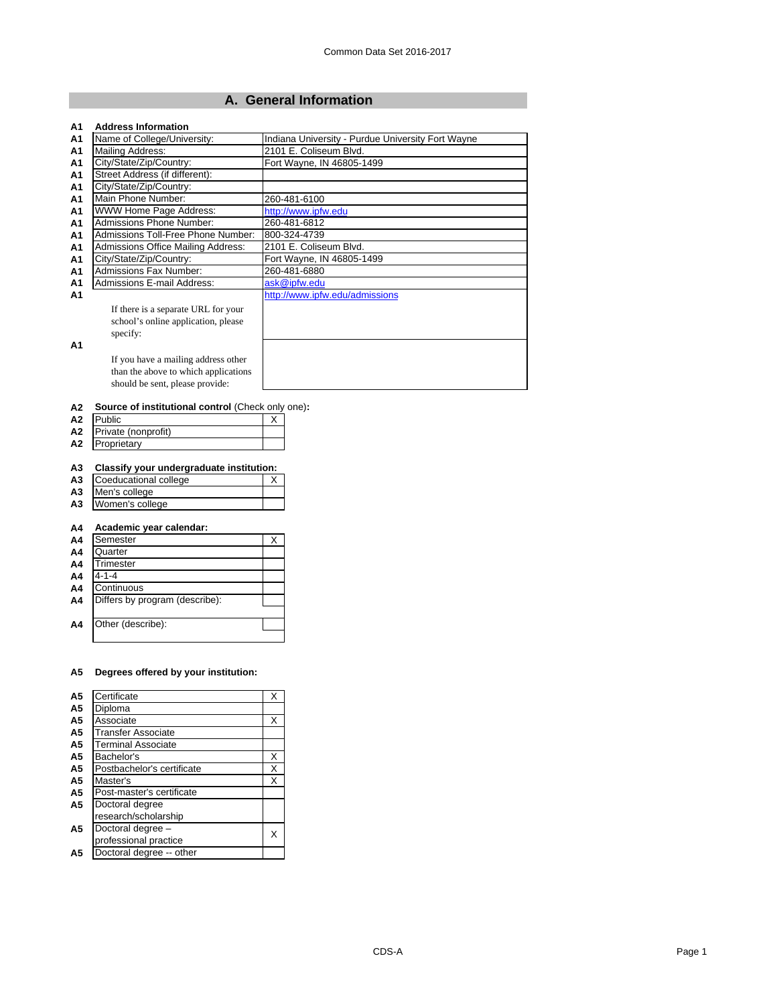## **A. General Information**

| A1             | <b>Address Information</b>                |                                                   |
|----------------|-------------------------------------------|---------------------------------------------------|
| A <sub>1</sub> | Name of College/University:               | Indiana University - Purdue University Fort Wayne |
| A <sub>1</sub> | Mailing Address:                          | 2101 E. Coliseum Blvd.                            |
| A1             | City/State/Zip/Country:                   | Fort Wayne, IN 46805-1499                         |
| A <sub>1</sub> | Street Address (if different):            |                                                   |
| A <sub>1</sub> | City/State/Zip/Country:                   |                                                   |
| A <sub>1</sub> | Main Phone Number:                        | 260-481-6100                                      |
| A <sub>1</sub> | WWW Home Page Address:                    | http://www.ipfw.edu                               |
| A <sub>1</sub> | Admissions Phone Number:                  | 260-481-6812                                      |
| A <sub>1</sub> | Admissions Toll-Free Phone Number:        | 800-324-4739                                      |
| A1             | <b>Admissions Office Mailing Address:</b> | 2101 E. Coliseum Blvd.                            |
| A <sub>1</sub> | City/State/Zip/Country:                   | Fort Wayne, IN 46805-1499                         |
| A <sub>1</sub> | <b>Admissions Fax Number:</b>             | 260-481-6880                                      |
| A1             | Admissions E-mail Address:                | ask@ipfw.edu                                      |
| A <sub>1</sub> |                                           | http://www.ipfw.edu/admissions                    |
|                | If there is a separate URL for your       |                                                   |
|                | school's online application, please       |                                                   |
|                | specify:                                  |                                                   |
| A1             |                                           |                                                   |
|                | If you have a mailing address other       |                                                   |
|                | than the above to which applications      |                                                   |
|                | should be sent, please provide:           |                                                   |
|                |                                           |                                                   |

### **A2 Source of institutional control** (Check only one)**:**

| А2 | <b>Public</b>       |  |
|----|---------------------|--|
| A2 | Private (nonprofit) |  |
| А2 | Proprietary         |  |

# **A3 Classify your undergraduate institution:**

| A3 Coeducational college |  |
|--------------------------|--|
| A3 Men's college         |  |
| A3 Women's college       |  |

## **A4 Academic year calendar:**

| A <sub>4</sub> | Semester                       |  |
|----------------|--------------------------------|--|
| A <sub>4</sub> | Quarter                        |  |
| A <sub>4</sub> | Trimester                      |  |
| A <sub>4</sub> | 4-1-4                          |  |
| A <sub>4</sub> | Continuous                     |  |
| A <sub>4</sub> | Differs by program (describe): |  |
|                |                                |  |
| A <sub>4</sub> | Other (describe):              |  |
|                |                                |  |

## **A5 Degrees offered by your institution:**

| A5             | Certificate                | Χ |
|----------------|----------------------------|---|
| A <sub>5</sub> | Diploma                    |   |
| A5             | Associate                  | Χ |
| A5             | <b>Transfer Associate</b>  |   |
| A <sub>5</sub> | <b>Terminal Associate</b>  |   |
| A5             | Bachelor's                 | Χ |
| A5             | Postbachelor's certificate | X |
| A <sub>5</sub> | Master's                   | X |
| A5             | Post-master's certificate  |   |
| A5             | Doctoral degree            |   |
|                | research/scholarship       |   |
| А5             | Doctoral degree -          | X |
|                | professional practice      |   |
| А5             | Doctoral degree -- other   |   |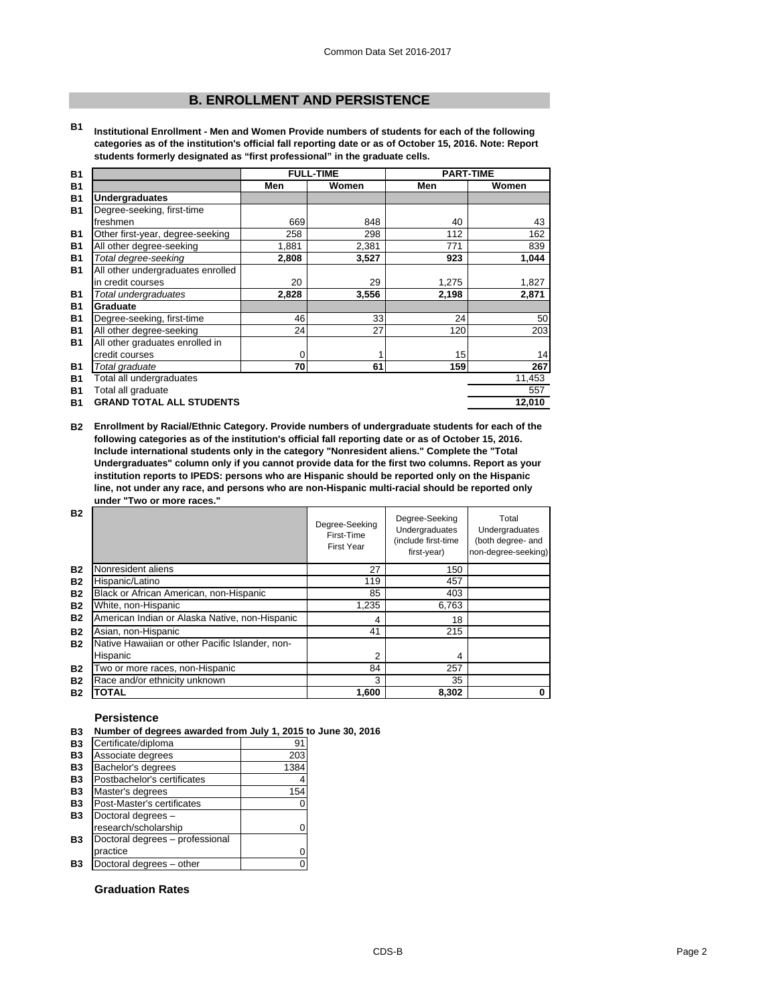## **B. ENROLLMENT AND PERSISTENCE**

**B1 Institutional Enrollment - Men and Women Provide numbers of students for each of the following categories as of the institution's official fall reporting date or as of October 15, 2016. Note: Report students formerly designated as "first professional" in the graduate cells.**

|                                   | <b>FULL-TIME</b> |       | <b>PART-TIME</b> |        |
|-----------------------------------|------------------|-------|------------------|--------|
|                                   | Men              | Women | Men              | Women  |
| <b>Undergraduates</b>             |                  |       |                  |        |
| Degree-seeking, first-time        |                  |       |                  |        |
| freshmen                          | 669              | 848   | 40               | 43     |
| Other first-year, degree-seeking  | 258              | 298   | 112              | 162    |
| All other degree-seeking          | 1,881            | 2,381 | 771              | 839    |
| Total degree-seeking              | 2,808            | 3,527 | 923              | 1,044  |
| All other undergraduates enrolled |                  |       |                  |        |
| in credit courses                 | 20               | 29    | 1,275            | 1,827  |
| Total undergraduates              | 2,828            | 3,556 | 2,198            | 2,871  |
| Graduate                          |                  |       |                  |        |
| Degree-seeking, first-time        | 46               | 33    | 24               | 50     |
| All other degree-seeking          | 24               | 27    | 120              | 203    |
| All other graduates enrolled in   |                  |       |                  |        |
| credit courses                    | 0                |       | 15               | 14     |
| Total graduate                    | 70               | 61    | 159              | 267    |
| Total all undergraduates          |                  |       |                  | 11,453 |
| Total all graduate                |                  |       |                  | 557    |
| <b>GRAND TOTAL ALL STUDENTS</b>   |                  |       |                  | 12,010 |
|                                   |                  |       |                  |        |

**B2 Enrollment by Racial/Ethnic Category. Provide numbers of undergraduate students for each of the following categories as of the institution's official fall reporting date or as of October 15, 2016. Include international students only in the category "Nonresident aliens." Complete the "Total Undergraduates" column only if you cannot provide data for the first two columns. Report as your institution reports to IPEDS: persons who are Hispanic should be reported only on the Hispanic line, not under any race, and persons who are non-Hispanic multi-racial should be reported only under "Two or more races."** 

| <b>B2</b> |                                                 | Degree-Seeking<br>First-Time<br><b>First Year</b> | Degree-Seeking<br>Undergraduates<br>(include first-time<br>first-year) | Total<br>Undergraduates<br>(both degree- and<br>non-degree-seeking) |
|-----------|-------------------------------------------------|---------------------------------------------------|------------------------------------------------------------------------|---------------------------------------------------------------------|
| <b>B2</b> | Nonresident aliens                              | 27                                                | 150                                                                    |                                                                     |
| <b>B2</b> | Hispanic/Latino                                 | 119                                               | 457                                                                    |                                                                     |
| <b>B2</b> | Black or African American, non-Hispanic         | 85                                                | 403                                                                    |                                                                     |
| <b>B2</b> | White, non-Hispanic                             | 1,235                                             | 6,763                                                                  |                                                                     |
| <b>B2</b> | American Indian or Alaska Native, non-Hispanic  | 4                                                 | 18                                                                     |                                                                     |
| <b>B2</b> | Asian, non-Hispanic                             | 41                                                | 215                                                                    |                                                                     |
| <b>B2</b> | Native Hawaiian or other Pacific Islander, non- |                                                   |                                                                        |                                                                     |
|           | Hispanic                                        | $\overline{2}$                                    | 4                                                                      |                                                                     |
| <b>B2</b> | Two or more races, non-Hispanic                 | 84                                                | 257                                                                    |                                                                     |
| <b>B2</b> | Race and/or ethnicity unknown                   | 3                                                 | 35                                                                     |                                                                     |
| <b>B2</b> | <b>TOTAL</b>                                    | 1,600                                             | 8,302                                                                  |                                                                     |

## **Persistence**

**B3 Number of degrees awarded from July 1, 2015 to June 30, 2016**

| <b>B3</b>      | Certificate/diploma             | 91   |
|----------------|---------------------------------|------|
| <b>B3</b>      | Associate degrees               | 203  |
| B <sub>3</sub> | Bachelor's degrees              | 1384 |
| <b>B3</b>      | Postbachelor's certificates     |      |
| <b>B3</b>      | Master's degrees                | 154  |
| <b>B3</b>      | Post-Master's certificates      |      |
| <b>B3</b>      | Doctoral degrees -              |      |
|                | research/scholarship            |      |
| B <sub>3</sub> | Doctoral degrees - professional |      |
|                | practice                        |      |
| Β3             | Doctoral degrees - other        |      |

## **Graduation Rates**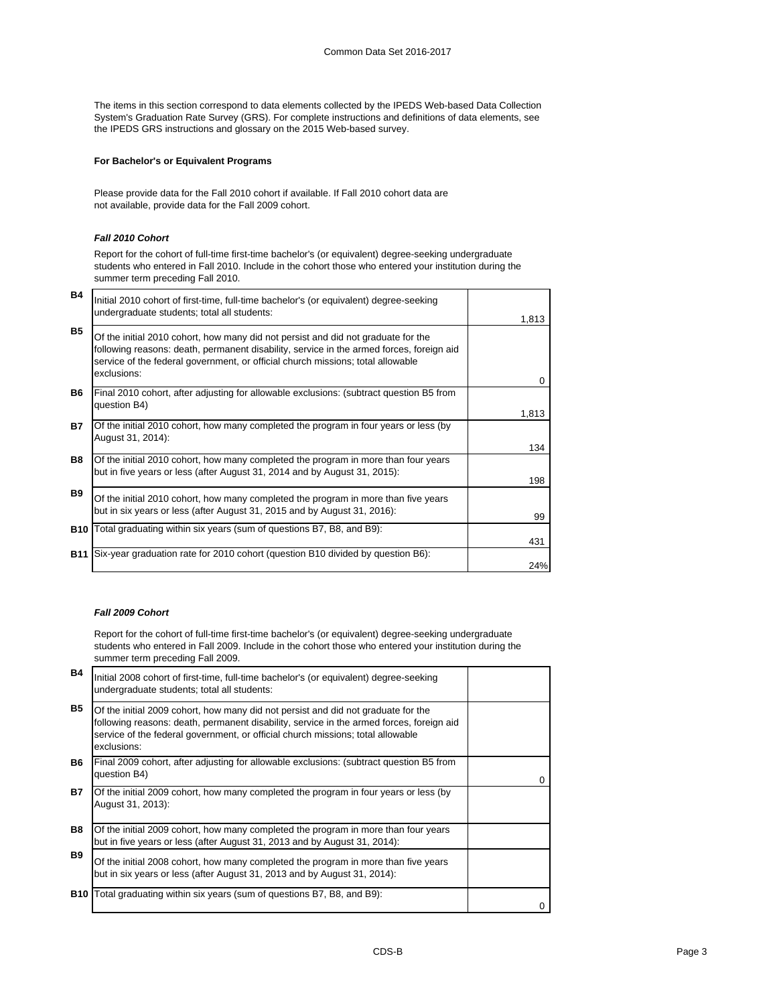The items in this section correspond to data elements collected by the IPEDS Web-based Data Collection System's Graduation Rate Survey (GRS). For complete instructions and definitions of data elements, see the IPEDS GRS instructions and glossary on the 2015 Web-based survey.

## **For Bachelor's or Equivalent Programs**

Please provide data for the Fall 2010 cohort if available. If Fall 2010 cohort data are not available, provide data for the Fall 2009 cohort.

## *Fall 2010 Cohort*

Report for the cohort of full-time first-time bachelor's (or equivalent) degree-seeking undergraduate students who entered in Fall 2010. Include in the cohort those who entered your institution during the summer term preceding Fall 2010.

| <b>B4</b>  | Initial 2010 cohort of first-time, full-time bachelor's (or equivalent) degree-seeking<br>undergraduate students; total all students:                                                                                                                                           | 1,813    |
|------------|---------------------------------------------------------------------------------------------------------------------------------------------------------------------------------------------------------------------------------------------------------------------------------|----------|
| <b>B5</b>  | Of the initial 2010 cohort, how many did not persist and did not graduate for the<br>following reasons: death, permanent disability, service in the armed forces, foreign aid<br>service of the federal government, or official church missions; total allowable<br>exclusions: | $\Omega$ |
| <b>B6</b>  | Final 2010 cohort, after adjusting for allowable exclusions: (subtract question B5 from<br>question B4)                                                                                                                                                                         | 1,813    |
| <b>B7</b>  | Of the initial 2010 cohort, how many completed the program in four years or less (by<br>August 31, 2014):                                                                                                                                                                       | 134      |
| <b>B8</b>  | Of the initial 2010 cohort, how many completed the program in more than four years<br>but in five years or less (after August 31, 2014 and by August 31, 2015):                                                                                                                 | 198      |
| <b>B9</b>  | Of the initial 2010 cohort, how many completed the program in more than five years<br>but in six years or less (after August 31, 2015 and by August 31, 2016):                                                                                                                  | 99       |
|            | <b>B10</b> Total graduating within six years (sum of questions B7, B8, and B9):                                                                                                                                                                                                 | 431      |
| <b>B11</b> | Six-year graduation rate for 2010 cohort (question B10 divided by question B6):                                                                                                                                                                                                 | 24%      |

### *Fall 2009 Cohort*

Report for the cohort of full-time first-time bachelor's (or equivalent) degree-seeking undergraduate students who entered in Fall 2009. Include in the cohort those who entered your institution during the summer term preceding Fall 2009.

| <b>B4</b>  | Initial 2008 cohort of first-time, full-time bachelor's (or equivalent) degree-seeking<br>undergraduate students; total all students:                                                                                                                                           |   |
|------------|---------------------------------------------------------------------------------------------------------------------------------------------------------------------------------------------------------------------------------------------------------------------------------|---|
| <b>B5</b>  | Of the initial 2009 cohort, how many did not persist and did not graduate for the<br>following reasons: death, permanent disability, service in the armed forces, foreign aid<br>service of the federal government, or official church missions; total allowable<br>exclusions: |   |
| B6.        | Final 2009 cohort, after adjusting for allowable exclusions: (subtract question B5 from<br>question B4)                                                                                                                                                                         | 0 |
| <b>B7</b>  | Of the initial 2009 cohort, how many completed the program in four years or less (by<br>August 31, 2013):                                                                                                                                                                       |   |
| <b>B8</b>  | Of the initial 2009 cohort, how many completed the program in more than four years<br>but in five years or less (after August 31, 2013 and by August 31, 2014):                                                                                                                 |   |
| <b>B9</b>  | Of the initial 2008 cohort, how many completed the program in more than five years<br>but in six years or less (after August 31, 2013 and by August 31, 2014):                                                                                                                  |   |
| <b>B10</b> | Total graduating within six years (sum of questions B7, B8, and B9):                                                                                                                                                                                                            |   |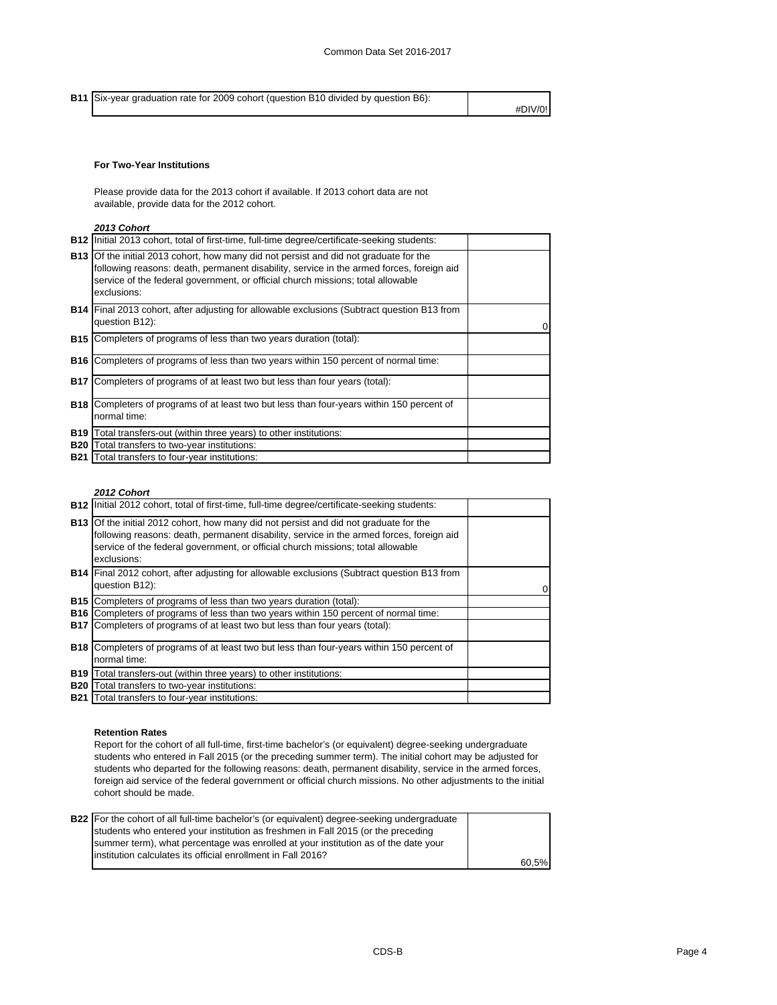**B11** Six-year graduation rate for 2009 cohort (question B10 divided by question B6): #DIV/0!

## **For Two-Year Institutions**

Please provide data for the 2013 cohort if available. If 2013 cohort data are not available, provide data for the 2012 cohort.

## *2013 Cohort*

|            | <b>B12</b> Initial 2013 cohort, total of first-time, full-time degree/certificate-seeking students:                                                                                                                                                                                        |  |
|------------|--------------------------------------------------------------------------------------------------------------------------------------------------------------------------------------------------------------------------------------------------------------------------------------------|--|
|            | <b>B13</b> Of the initial 2013 cohort, how many did not persist and did not graduate for the<br>following reasons: death, permanent disability, service in the armed forces, foreign aid<br>service of the federal government, or official church missions; total allowable<br>exclusions: |  |
|            | <b>B14</b> Final 2013 cohort, after adjusting for allowable exclusions (Subtract question B13 from<br>question B12):                                                                                                                                                                       |  |
| B15        | Completers of programs of less than two years duration (total):                                                                                                                                                                                                                            |  |
| <b>B16</b> | Completers of programs of less than two years within 150 percent of normal time:                                                                                                                                                                                                           |  |
| <b>B17</b> | Completers of programs of at least two but less than four years (total):                                                                                                                                                                                                                   |  |
| <b>B18</b> | Completers of programs of at least two but less than four-years within 150 percent of<br>normal time:                                                                                                                                                                                      |  |
| <b>B19</b> | Total transfers-out (within three years) to other institutions:                                                                                                                                                                                                                            |  |
| <b>B20</b> | Total transfers to two-year institutions:                                                                                                                                                                                                                                                  |  |
|            | <b>B21</b> Total transfers to four-year institutions:                                                                                                                                                                                                                                      |  |

### *2012 Cohort*

| <b>B12</b> Initial 2012 cohort, total of first-time, full-time degree/certificate-seeking students:                                                                                                                                                                                        |    |
|--------------------------------------------------------------------------------------------------------------------------------------------------------------------------------------------------------------------------------------------------------------------------------------------|----|
| <b>B13</b> Of the initial 2012 cohort, how many did not persist and did not graduate for the<br>following reasons: death, permanent disability, service in the armed forces, foreign aid<br>service of the federal government, or official church missions; total allowable<br>exclusions: |    |
| <b>B14</b> Final 2012 cohort, after adjusting for allowable exclusions (Subtract question B13 from<br>question B12):                                                                                                                                                                       | 01 |
| <b>B15</b> Completers of programs of less than two years duration (total):                                                                                                                                                                                                                 |    |
| <b>B16</b> Completers of programs of less than two years within 150 percent of normal time:                                                                                                                                                                                                |    |
| <b>B17</b> Completers of programs of at least two but less than four years (total):                                                                                                                                                                                                        |    |
| <b>B18</b> Completers of programs of at least two but less than four-years within 150 percent of                                                                                                                                                                                           |    |
| normal time:                                                                                                                                                                                                                                                                               |    |
| <b>B19</b> Total transfers-out (within three years) to other institutions:                                                                                                                                                                                                                 |    |
| <b>B20</b> Total transfers to two-year institutions:                                                                                                                                                                                                                                       |    |
| <b>B21</b> Total transfers to four-year institutions:                                                                                                                                                                                                                                      |    |

## **Retention Rates**

Report for the cohort of all full-time, first-time bachelor's (or equivalent) degree-seeking undergraduate students who entered in Fall 2015 (or the preceding summer term). The initial cohort may be adjusted for students who departed for the following reasons: death, permanent disability, service in the armed forces, foreign aid service of the federal government or official church missions. No other adjustments to the initial cohort should be made.

| <b>B22</b> For the cohort of all full-time bachelor's (or equivalent) degree-seeking undergraduate |       |
|----------------------------------------------------------------------------------------------------|-------|
| students who entered your institution as freshmen in Fall 2015 (or the preceding                   |       |
| summer term), what percentage was enrolled at your institution as of the date your                 |       |
| linstitution calculates its official enrollment in Fall 2016?                                      |       |
|                                                                                                    | 60.5% |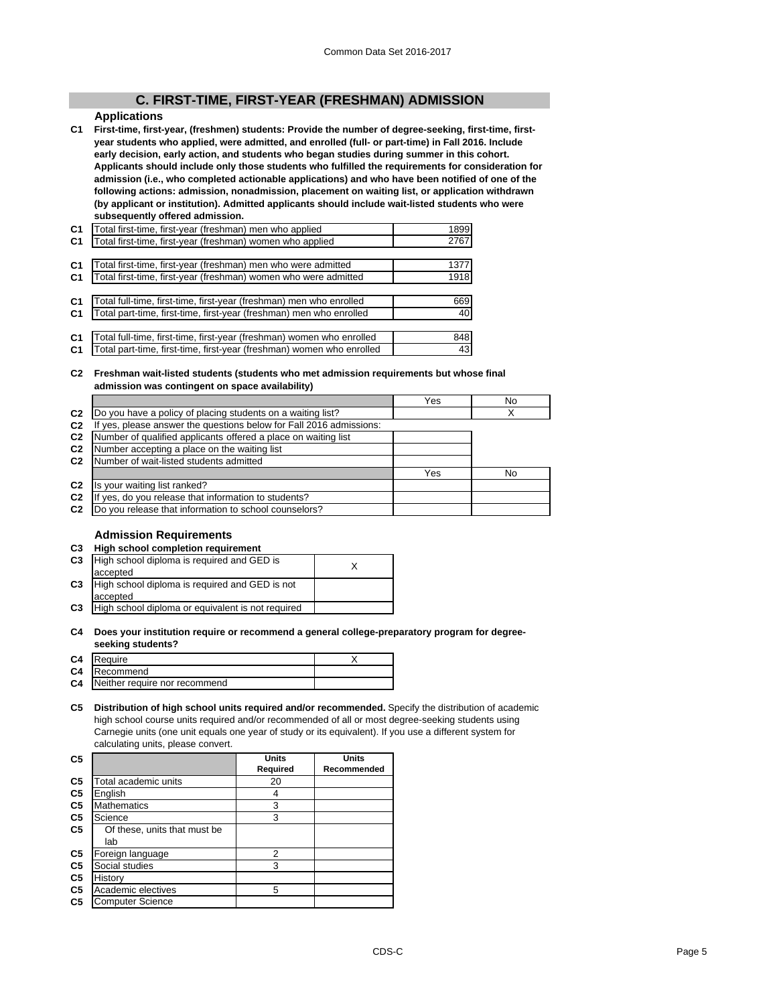## **C. FIRST-TIME, FIRST-YEAR (FRESHMAN) ADMISSION**

## **Applications**

**C1 First-time, first-year, (freshmen) students: Provide the number of degree-seeking, first-time, firstyear students who applied, were admitted, and enrolled (full- or part-time) in Fall 2016. Include early decision, early action, and students who began studies during summer in this cohort. Applicants should include only those students who fulfilled the requirements for consideration for admission (i.e., who completed actionable applications) and who have been notified of one of the following actions: admission, nonadmission, placement on waiting list, or application withdrawn (by applicant or institution). Admitted applicants should include wait-listed students who were subsequently offered admission.**

| C <sub>1</sub> | Total first-time, first-year (freshman) men who applied               | 1899 |
|----------------|-----------------------------------------------------------------------|------|
| C <sub>1</sub> | Total first-time, first-year (freshman) women who applied             | 2767 |
|                |                                                                       |      |
| C <sub>1</sub> | Total first-time, first-year (freshman) men who were admitted         | 1377 |
| C <sub>1</sub> | Total first-time, first-year (freshman) women who were admitted       | 1918 |
|                |                                                                       |      |
| C <sub>1</sub> | Total full-time, first-time, first-year (freshman) men who enrolled   | 669  |
| C <sub>1</sub> | Total part-time, first-time, first-year (freshman) men who enrolled   | 40   |
|                |                                                                       |      |
| C <sub>1</sub> | Total full-time, first-time, first-year (freshman) women who enrolled | 848  |
| C <sub>1</sub> | Total part-time, first-time, first-year (freshman) women who enrolled | 43   |

#### **C2 Freshman wait-listed students (students who met admission requirements but whose final admission was contingent on space availability)**

|                                                                  | Yes                                                                                                                                                                                                                                                                                                                                                                       | No |
|------------------------------------------------------------------|---------------------------------------------------------------------------------------------------------------------------------------------------------------------------------------------------------------------------------------------------------------------------------------------------------------------------------------------------------------------------|----|
|                                                                  |                                                                                                                                                                                                                                                                                                                                                                           |    |
| yes, please answer the questions below for Fall 2016 admissions: |                                                                                                                                                                                                                                                                                                                                                                           |    |
|                                                                  |                                                                                                                                                                                                                                                                                                                                                                           |    |
|                                                                  |                                                                                                                                                                                                                                                                                                                                                                           |    |
|                                                                  |                                                                                                                                                                                                                                                                                                                                                                           |    |
|                                                                  | Yes                                                                                                                                                                                                                                                                                                                                                                       | No |
|                                                                  |                                                                                                                                                                                                                                                                                                                                                                           |    |
|                                                                  |                                                                                                                                                                                                                                                                                                                                                                           |    |
|                                                                  |                                                                                                                                                                                                                                                                                                                                                                           |    |
|                                                                  | Do you have a policy of placing students on a waiting list?<br>Number of qualified applicants offered a place on waiting list<br>Number accepting a place on the waiting list<br>Number of wait-listed students admitted<br>Is your waiting list ranked?<br>If yes, do you release that information to students?<br>Do you release that information to school counselors? |    |

## **Admission Requirements**

| C <sub>3</sub> | High school completion requirement                |  |
|----------------|---------------------------------------------------|--|
| C <sub>3</sub> | High school diploma is required and GED is        |  |
|                | accepted                                          |  |
| C <sub>3</sub> | High school diploma is required and GED is not    |  |
|                | accepted                                          |  |
| C <sub>3</sub> | High school diploma or equivalent is not required |  |
|                |                                                   |  |

#### **C4 Does your institution require or recommend a general college-preparatory program for degreeseeking students?**

| C4 Require                       |  |
|----------------------------------|--|
| C4 Recommend                     |  |
| C4 Neither require nor recommend |  |
|                                  |  |

### **C5 Distribution of high school units required and/or recommended.** Specify the distribution of academic high school course units required and/or recommended of all or most degree-seeking students using Carnegie units (one unit equals one year of study or its equivalent). If you use a different system for calculating units, please convert.

| C <sub>5</sub> |                              | <b>Units</b> | <b>Units</b> |  |  |
|----------------|------------------------------|--------------|--------------|--|--|
|                |                              | Required     | Recommended  |  |  |
| C <sub>5</sub> | Total academic units         | 20           |              |  |  |
| C <sub>5</sub> | English                      |              |              |  |  |
| C <sub>5</sub> | <b>Mathematics</b>           | 3            |              |  |  |
| C <sub>5</sub> | Science                      | 3            |              |  |  |
| C <sub>5</sub> | Of these, units that must be |              |              |  |  |
|                | lab                          |              |              |  |  |
| C5             | Foreign language             | 2            |              |  |  |
| C <sub>5</sub> | Social studies               | 3            |              |  |  |
| C <sub>5</sub> | History                      |              |              |  |  |
| C <sub>5</sub> | Academic electives           | 5            |              |  |  |
| C <sub>5</sub> | <b>Computer Science</b>      |              |              |  |  |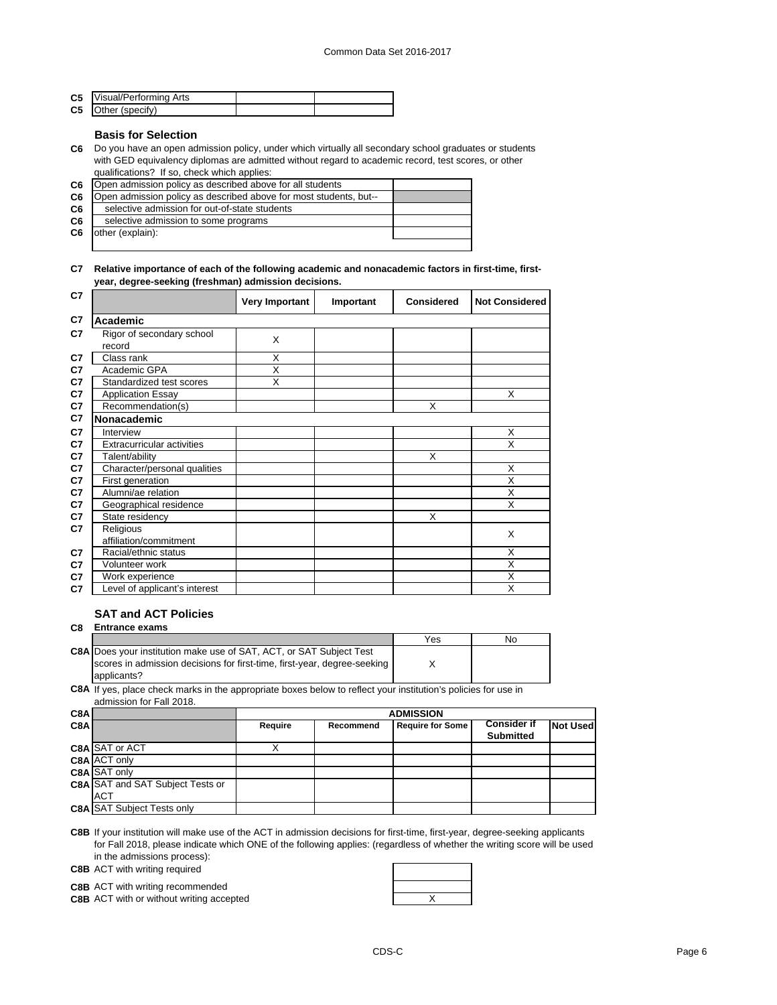| <b>C5</b> Visual/Performing Arts |  |
|----------------------------------|--|
| <b>C5</b> Other (specify)        |  |

## **Basis for Selection**

**C6** Do you have an open admission policy, under which virtually all secondary school graduates or students with GED equivalency diplomas are admitted without regard to academic record, test scores, or other qualifications? If so, check which applies:

| C <sub>6</sub> | Open admission policy as described above for all students         |  |
|----------------|-------------------------------------------------------------------|--|
| C <sub>6</sub> | Open admission policy as described above for most students, but-- |  |
| C6             | selective admission for out-of-state students                     |  |
| C6             | selective admission to some programs                              |  |
| C <sub>6</sub> | other (explain):                                                  |  |
|                |                                                                   |  |

### **C7 Relative importance of each of the following academic and nonacademic factors in first-time, firstyear, degree-seeking (freshman) admission decisions.**

| C7 |                               | <b>Very Important</b> | Important | <b>Considered</b> | <b>Not Considered</b> |
|----|-------------------------------|-----------------------|-----------|-------------------|-----------------------|
| C7 | Academic                      |                       |           |                   |                       |
| C7 | Rigor of secondary school     | X                     |           |                   |                       |
|    | record                        |                       |           |                   |                       |
| C7 | Class rank                    | X                     |           |                   |                       |
| C7 | Academic GPA                  | X                     |           |                   |                       |
| C7 | Standardized test scores      | X                     |           |                   |                       |
| C7 | <b>Application Essay</b>      |                       |           |                   | X                     |
| C7 | Recommendation(s)             |                       |           | X                 |                       |
| C7 | Nonacademic                   |                       |           |                   |                       |
| C7 | Interview                     |                       |           |                   | X                     |
| C7 | Extracurricular activities    |                       |           |                   | X                     |
| C7 | Talent/ability                |                       |           | X                 |                       |
| C7 | Character/personal qualities  |                       |           |                   | X                     |
| C7 | First generation              |                       |           |                   | X                     |
| C7 | Alumni/ae relation            |                       |           |                   | X                     |
| C7 | Geographical residence        |                       |           |                   | X                     |
| C7 | State residency               |                       |           | X                 |                       |
| C7 | Religious                     |                       |           |                   | X                     |
|    | affiliation/commitment        |                       |           |                   |                       |
| C7 | Racial/ethnic status          |                       |           |                   | X                     |
| C7 | Volunteer work                |                       |           |                   | X                     |
| C7 | Work experience               |                       |           |                   | X                     |
| C7 | Level of applicant's interest |                       |           |                   | X                     |

## **SAT and ACT Policies**

**C8 Entrance exams**  Yes No **C8A** Does your institution make use of SAT, ACT, or SAT Subject Test X scores in admission decisions for first-time, first-year, degree-seeking

**C8A** If yes, place check marks in the appropriate boxes below to reflect your institution's policies for use in applicants? admission for Fall 2018.

| C8A |                                         |         | <b>ADMISSION</b> |                         |                    |                 |  |
|-----|-----------------------------------------|---------|------------------|-------------------------|--------------------|-----------------|--|
| C8A |                                         | Require | Recommend        | <b>Require for Some</b> | <b>Consider if</b> | <b>Not Used</b> |  |
|     |                                         |         |                  |                         | <b>Submitted</b>   |                 |  |
|     | <b>C8A SAT or ACT</b>                   |         |                  |                         |                    |                 |  |
|     | <b>C8A ACT only</b>                     |         |                  |                         |                    |                 |  |
|     | <b>C8A SAT only</b>                     |         |                  |                         |                    |                 |  |
|     | <b>C8A SAT and SAT Subject Tests or</b> |         |                  |                         |                    |                 |  |
|     | <b>ACT</b>                              |         |                  |                         |                    |                 |  |
|     | <b>C8A SAT Subject Tests only</b>       |         |                  |                         |                    |                 |  |

**C8B** If your institution will make use of the ACT in admission decisions for first-time, first-year, degree-seeking applicants for Fall 2018, please indicate which ONE of the following applies: (regardless of whether the writing score will be used in the admissions process):

**C8B** ACT with writing required

**C8B** ACT with writing recommended

**C8B** ACT with or without writing accepted **ACT ACT X** ACT **X** ACT **X** ACT **X** ACT **X** ACT **X** ACT **X** ACT **X** ACT **X** ACT **X** ACT **X** ACT **X** ACT **X** ACT **X** ACT **X** ACT **X** ACT **X** ACT **X** ACT **X** ACT **X** ACT **X** ACT

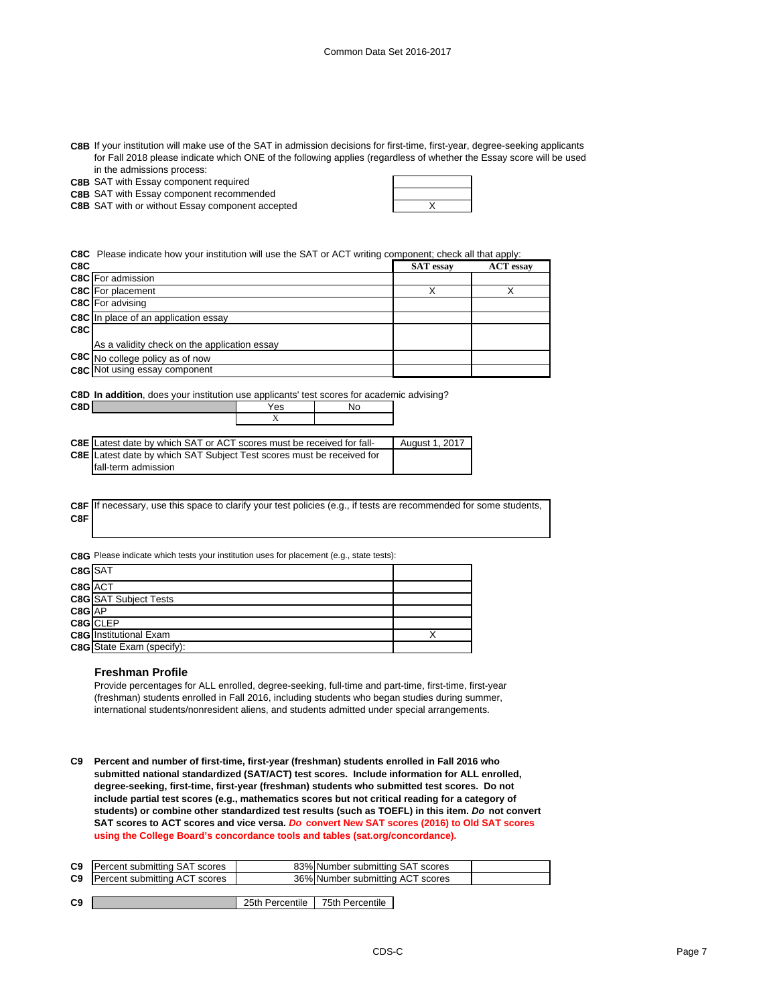| C8B If your institution will make use of the SAT in admission decisions for first-time, first-year, degree-seeking applicants |
|-------------------------------------------------------------------------------------------------------------------------------|
| for Fall 2018 please indicate which ONE of the following applies (regardless of whether the Essay score will be used          |
| in the admissions process:                                                                                                    |

|  |  | <b>C8B</b> SAT with Essay component required |  |
|--|--|----------------------------------------------|--|

**C8B** SAT with Essay component recommended

**C8B** SAT with or without Essay component accepted  $\qquad$  X

**C8C** Please indicate how your institution will use the SAT or ACT writing component; check all that apply:

| C8C |                                              | <b>SAT</b> essay | <b>ACT</b> essay |
|-----|----------------------------------------------|------------------|------------------|
|     | <b>C8C</b> For admission                     |                  |                  |
|     | <b>C8C</b> For placement                     |                  |                  |
|     | <b>C8C</b> For advising                      |                  |                  |
|     | <b>C8C</b> In place of an application essay  |                  |                  |
| C8C |                                              |                  |                  |
|     | As a validity check on the application essay |                  |                  |
|     | C8C No college policy as of now              |                  |                  |
|     | C8C Not using essay component                |                  |                  |
|     |                                              |                  |                  |

**C8D In addition**, does your institution use applicants' test scores for academic advising?

**C8D** Yes No

| <b>C8E</b> Latest date by which SAT or ACT scores must be received for fall- | August 1, 2017 |
|------------------------------------------------------------------------------|----------------|
| <b>C8E</b> Latest date by which SAT Subject Test scores must be received for |                |
| Ifall-term admission                                                         |                |

X

|     | C8F If necessary, use this space to clarify your test policies (e.g., if tests are recommended for some students, |
|-----|-------------------------------------------------------------------------------------------------------------------|
| C8F |                                                                                                                   |

**C8G** Please indicate which tests your institution uses for placement (e.g., state tests):

| C8G SAT |                                  |  |
|---------|----------------------------------|--|
| C8G ACT |                                  |  |
|         | <b>C8G SAT Subject Tests</b>     |  |
| C8G AP  |                                  |  |
|         | C8G CLEP                         |  |
|         | <b>C8G</b> Institutional Exam    |  |
|         | <b>C8G</b> State Exam (specify): |  |

#### **Freshman Profile**

Provide percentages for ALL enrolled, degree-seeking, full-time and part-time, first-time, first-year (freshman) students enrolled in Fall 2016, including students who began studies during summer, international students/nonresident aliens, and students admitted under special arrangements.

**C9 Percent and number of first-time, first-year (freshman) students enrolled in Fall 2016 who submitted national standardized (SAT/ACT) test scores. Include information for ALL enrolled, degree-seeking, first-time, first-year (freshman) students who submitted test scores. Do not include partial test scores (e.g., mathematics scores but not critical reading for a category of students) or combine other standardized test results (such as TOEFL) in this item.** *Do* **not convert SAT scores to ACT scores and vice versa.** *Do* **convert New SAT scores (2016) to Old SAT scores using the College Board's concordance tools and tables (sat.org/concordance).**

| <b>C9</b> Percent submitting SAT scores | 83% Number submitting SAT scores |  |
|-----------------------------------------|----------------------------------|--|
| <b>C9</b> Percent submitting ACT scores | 36% Number submitting ACT scores |  |
|                                         |                                  |  |

| C9<br>25th Percentile<br>75th Percentile |
|------------------------------------------|
|------------------------------------------|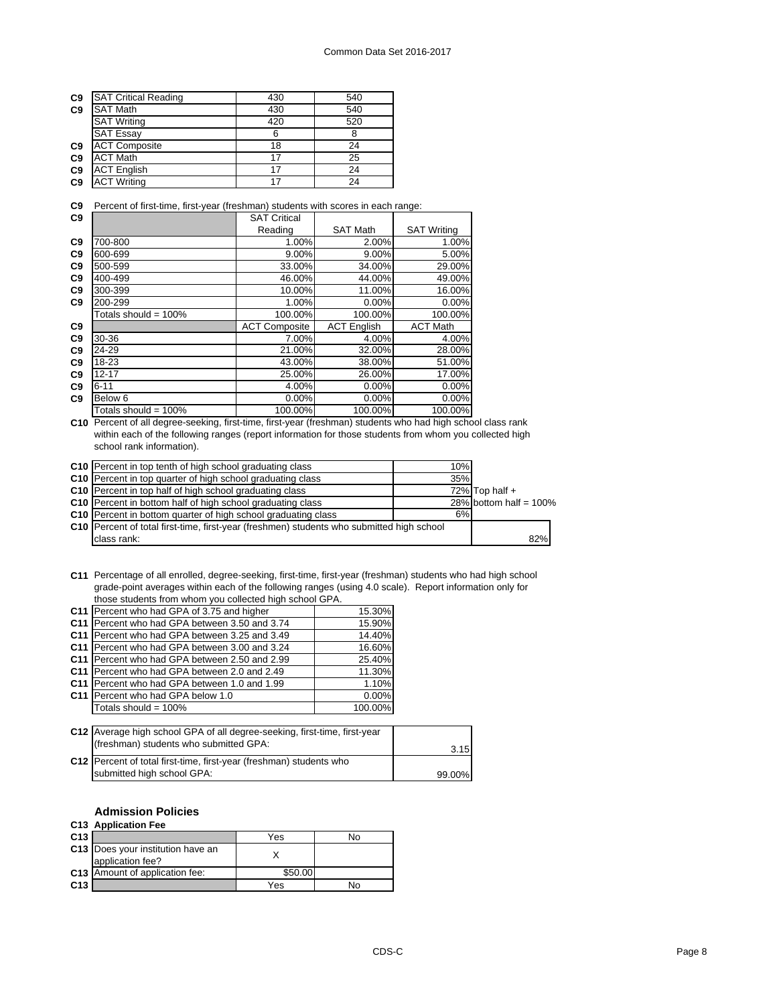| C <sub>9</sub> | <b>SAT Critical Reading</b> | 430 | 540 |
|----------------|-----------------------------|-----|-----|
| C <sub>9</sub> | <b>SAT Math</b>             | 430 | 540 |
|                | <b>SAT Writing</b>          | 420 | 520 |
|                | <b>SAT Essay</b>            | ค   |     |
| C <sub>9</sub> | <b>ACT Composite</b>        | 18  | 24  |
| C <sub>9</sub> | <b>ACT Math</b>             | 17  | 25  |
| C <sub>9</sub> | <b>ACT English</b>          | 17  | 24  |
| C <sub>9</sub> | <b>ACT Writing</b>          | 17  | 24  |

**C9** Percent of first-time, first-year (freshman) students with scores in each range:

| C9             |                         | <b>SAT Critical</b>  |                    |                    |
|----------------|-------------------------|----------------------|--------------------|--------------------|
|                |                         | Reading              | <b>SAT Math</b>    | <b>SAT Writing</b> |
| C <sub>9</sub> | 700-800                 | 1.00%                | 2.00%              | 1.00%              |
| C <sub>9</sub> | 600-699                 | $9.00\%$             | 9.00%              | 5.00%              |
| C <sub>9</sub> | 500-599                 | 33.00%               | 34.00%             | 29.00%             |
| C <sub>9</sub> | 400-499                 | 46.00%               | 44.00%             | 49.00%             |
| C <sub>9</sub> | 300-399                 | 10.00%               | 11.00%             | 16.00%             |
| C <sub>9</sub> | 200-299                 | 1.00%                | 0.00%              | 0.00%              |
|                | Totals should = $100\%$ | 100.00%              | 100.00%            | 100.00%            |
| C <sub>9</sub> |                         | <b>ACT Composite</b> | <b>ACT English</b> | <b>ACT Math</b>    |
| C <sub>9</sub> | 30-36                   | 7.00%                | 4.00%              | 4.00%              |
| C <sub>9</sub> | 24-29                   | 21.00%               | 32.00%             | 28.00%             |
| C <sub>9</sub> | 18-23                   | 43.00%               | 38.00%             | 51.00%             |
| C <sub>9</sub> | $12 - 17$               | 25.00%               | 26.00%             | 17.00%             |
| C <sub>9</sub> | $6 - 11$                | 4.00%                | 0.00%              | 0.00%              |
| C <sub>9</sub> | Below 6                 | 0.00%                | 0.00%              | 0.00%              |
|                | Totals should = 100%    | 100.00%              | 100.00%            | 100.00%            |

**C10** Percent of all degree-seeking, first-time, first-year (freshman) students who had high school class rank within each of the following ranges (report information for those students from whom you collected high school rank information).

| C10 Percent in top tenth of high school graduating class                                         | 10% |                           |     |
|--------------------------------------------------------------------------------------------------|-----|---------------------------|-----|
| C10 Percent in top quarter of high school graduating class                                       | 35% |                           |     |
| C10 Percent in top half of high school graduating class                                          |     | $72\%$ Top half +         |     |
| C10 Percent in bottom half of high school graduating class                                       |     | 28% bottom half = $100\%$ |     |
| <b>C10</b> Percent in bottom quarter of high school graduating class                             | 6%  |                           |     |
| <b>C10</b> Percent of total first-time, first-year (freshmen) students who submitted high school |     |                           |     |
| class rank:                                                                                      |     |                           | 82% |

**C11** Percentage of all enrolled, degree-seeking, first-time, first-year (freshman) students who had high school grade-point averages within each of the following ranges (using 4.0 scale). Report information only for those students from whom you collected high school GPA.

|                 | C11 Percent who had GPA of 3.75 and higher    | 15.30%  |
|-----------------|-----------------------------------------------|---------|
| C <sub>11</sub> | Percent who had GPA between 3.50 and 3.74     | 15.90%  |
| C <sub>11</sub> | Percent who had GPA between 3.25 and 3.49     | 14.40%  |
|                 | C11 Percent who had GPA between 3.00 and 3.24 | 16.60%  |
| C <sub>11</sub> | Percent who had GPA between 2.50 and 2.99     | 25.40%  |
| C <sub>11</sub> | Percent who had GPA between 2.0 and 2.49      | 11.30%  |
| C <sub>11</sub> | Percent who had GPA between 1.0 and 1.99      | 1.10%   |
| C <sub>11</sub> | Percent who had GPA below 1.0                 | 0.00%   |
|                 | Totals should = $100\%$                       | 100.00% |
|                 |                                               |         |

| C12 Average high school GPA of all degree-seeking, first-time, first-year |        |
|---------------------------------------------------------------------------|--------|
| (freshman) students who submitted GPA:                                    | 3.15   |
| C12 Percent of total first-time, first-year (freshman) students who       |        |
| submitted high school GPA:                                                | 99.00% |

## **Admission Policies**

## **C13 Application Fee**

| C <sub>13</sub> |                                                       | Yes     | No |
|-----------------|-------------------------------------------------------|---------|----|
|                 | C13 Does your institution have an<br>application fee? |         |    |
|                 | C13 Amount of application fee:                        | \$50.00 |    |
| C <sub>13</sub> |                                                       | Yes     | No |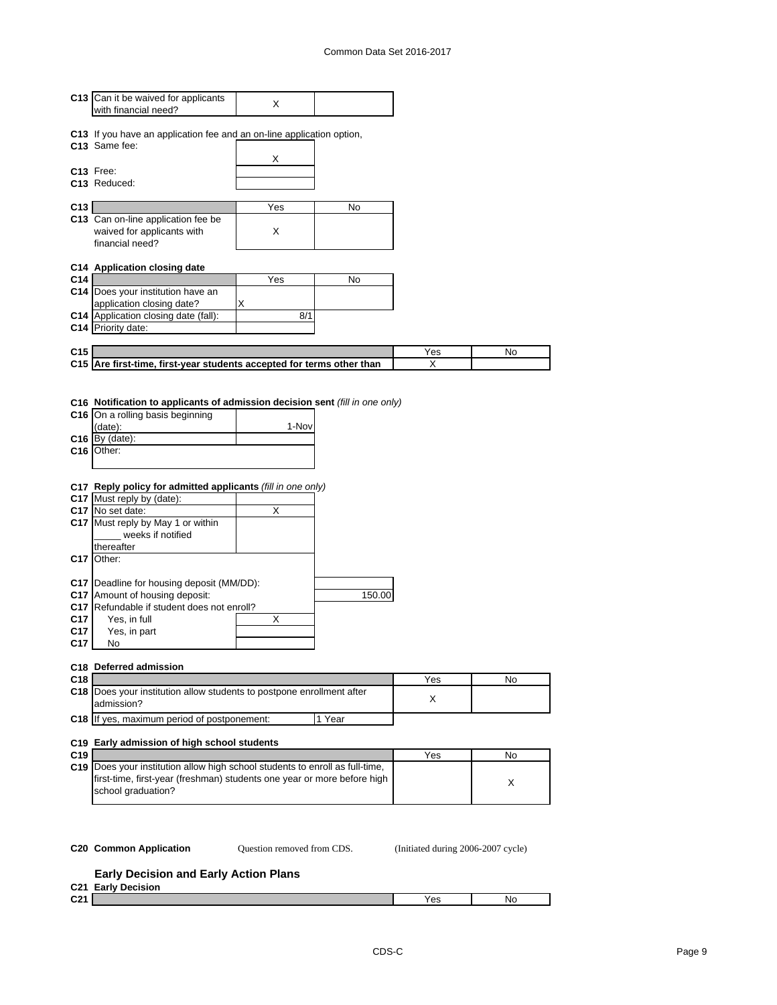|                     | C13 Can it be waived for applicants                                                                                                                                                                                                                                                                                                                                                                      | X               |        |     |    |
|---------------------|----------------------------------------------------------------------------------------------------------------------------------------------------------------------------------------------------------------------------------------------------------------------------------------------------------------------------------------------------------------------------------------------------------|-----------------|--------|-----|----|
|                     | with financial need?                                                                                                                                                                                                                                                                                                                                                                                     |                 |        |     |    |
|                     |                                                                                                                                                                                                                                                                                                                                                                                                          |                 |        |     |    |
|                     | C13 If you have an application fee and an on-line application option,                                                                                                                                                                                                                                                                                                                                    |                 |        |     |    |
|                     | C13 Same fee:                                                                                                                                                                                                                                                                                                                                                                                            |                 |        |     |    |
|                     |                                                                                                                                                                                                                                                                                                                                                                                                          | х               |        |     |    |
|                     | C <sub>13</sub> Free:                                                                                                                                                                                                                                                                                                                                                                                    |                 |        |     |    |
|                     | C13 Reduced:                                                                                                                                                                                                                                                                                                                                                                                             |                 |        |     |    |
|                     |                                                                                                                                                                                                                                                                                                                                                                                                          |                 |        |     |    |
| C13                 |                                                                                                                                                                                                                                                                                                                                                                                                          | Yes             | No     |     |    |
|                     | C13 Can on-line application fee be                                                                                                                                                                                                                                                                                                                                                                       |                 |        |     |    |
|                     | waived for applicants with                                                                                                                                                                                                                                                                                                                                                                               | X               |        |     |    |
|                     | financial need?                                                                                                                                                                                                                                                                                                                                                                                          |                 |        |     |    |
|                     |                                                                                                                                                                                                                                                                                                                                                                                                          |                 |        |     |    |
|                     | C14 Application closing date                                                                                                                                                                                                                                                                                                                                                                             |                 |        |     |    |
| C14                 |                                                                                                                                                                                                                                                                                                                                                                                                          | Yes             | No     |     |    |
|                     | C14 Does your institution have an                                                                                                                                                                                                                                                                                                                                                                        |                 |        |     |    |
|                     | application closing date?                                                                                                                                                                                                                                                                                                                                                                                | х               |        |     |    |
|                     | C14 Application closing date (fall):                                                                                                                                                                                                                                                                                                                                                                     | 8/1             |        |     |    |
|                     | C14 Priority date:                                                                                                                                                                                                                                                                                                                                                                                       |                 |        |     |    |
|                     |                                                                                                                                                                                                                                                                                                                                                                                                          |                 |        |     |    |
| C <sub>15</sub>     |                                                                                                                                                                                                                                                                                                                                                                                                          |                 |        | Yes | No |
|                     | C15 Are first-time, first-year students accepted for terms other than                                                                                                                                                                                                                                                                                                                                    |                 |        | х   |    |
|                     |                                                                                                                                                                                                                                                                                                                                                                                                          |                 |        |     |    |
| C16 I<br>C17<br>C17 | (date):<br>$C16$ By (date):<br>Other:<br>C17 Reply policy for admitted applicants (fill in one only)<br>C17 Must reply by (date):<br>C17 No set date:<br>C17 Must reply by May 1 or within<br>weeks if notified<br>thereafter<br>C <sub>17</sub>   Other:<br>C17   Deadline for housing deposit (MM/DD):<br>C17 Amount of housing deposit:<br>C17 Refundable if student does not enroll?<br>Yes, in full | 1-Nov<br>Χ<br>х | 150.00 |     |    |
| C17                 | Yes, in part<br>No                                                                                                                                                                                                                                                                                                                                                                                       |                 |        |     |    |
|                     | C18 Deferred admission                                                                                                                                                                                                                                                                                                                                                                                   |                 |        |     |    |
| C18                 |                                                                                                                                                                                                                                                                                                                                                                                                          |                 |        | Yes | No |
|                     | C18 Does your institution allow students to postpone enrollment after                                                                                                                                                                                                                                                                                                                                    |                 |        |     |    |
|                     | admission?                                                                                                                                                                                                                                                                                                                                                                                               |                 |        | X   |    |
|                     | C18 If yes, maximum period of postponement:                                                                                                                                                                                                                                                                                                                                                              |                 | 1 Year |     |    |
|                     |                                                                                                                                                                                                                                                                                                                                                                                                          |                 |        |     |    |
|                     | C19 Early admission of high school students                                                                                                                                                                                                                                                                                                                                                              |                 |        |     |    |
| C <sub>19</sub>     |                                                                                                                                                                                                                                                                                                                                                                                                          |                 |        | Yes | No |
|                     | C19 Does your institution allow high school students to enroll as full-time,<br>first-time, first-year (freshman) students one year or more before high<br>school graduation?                                                                                                                                                                                                                            |                 |        |     | X  |

Question removed from CDS.

**C20 Common Application Question removed from CDS.** (Initiated during 2006-2007 cycle)

## **Early Decision and Early Action Plans**

|                  | C21 Early Decision |     |    |
|------------------|--------------------|-----|----|
| 0.21<br><b>V</b> |                    | Yes | No |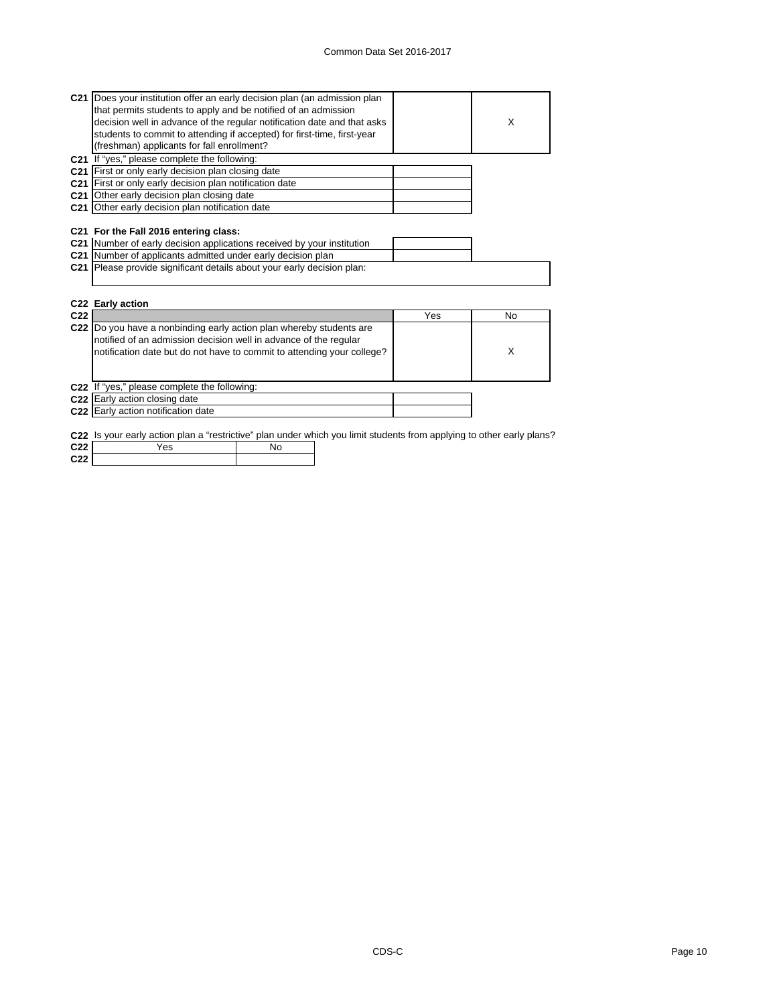| C21 Does your institution offer an early decision plan (an admission plan                                                                |     |           |
|------------------------------------------------------------------------------------------------------------------------------------------|-----|-----------|
| that permits students to apply and be notified of an admission                                                                           |     |           |
| decision well in advance of the regular notification date and that asks                                                                  |     | X         |
| students to commit to attending if accepted) for first-time, first-year                                                                  |     |           |
| (freshman) applicants for fall enrollment?                                                                                               |     |           |
| C21 If "yes," please complete the following:                                                                                             |     |           |
| C21 First or only early decision plan closing date                                                                                       |     |           |
| C21 First or only early decision plan notification date                                                                                  |     |           |
| <b>C21</b> Other early decision plan closing date                                                                                        |     |           |
| C21 Other early decision plan notification date                                                                                          |     |           |
|                                                                                                                                          |     |           |
| C21 For the Fall 2016 entering class:                                                                                                    |     |           |
|                                                                                                                                          |     |           |
| C21 Number of early decision applications received by your institution                                                                   |     |           |
| C21 Number of applicants admitted under early decision plan                                                                              |     |           |
| C21 Please provide significant details about your early decision plan:                                                                   |     |           |
|                                                                                                                                          |     |           |
|                                                                                                                                          |     |           |
| C22 Early action                                                                                                                         |     |           |
| C <sub>22</sub>                                                                                                                          | Yes | <b>No</b> |
|                                                                                                                                          |     |           |
| C22  Do you have a nonbinding early action plan whereby students are<br>notified of an admission decision well in advance of the regular |     |           |
| notification date but do not have to commit to attending your college?                                                                   |     | X         |
|                                                                                                                                          |     |           |
|                                                                                                                                          |     |           |
| C22 If "yes," please complete the following:                                                                                             |     |           |
| C22 Early action closing date                                                                                                            |     |           |
| C22 Early action notification date                                                                                                       |     |           |
|                                                                                                                                          |     |           |
| C22 Is your early action plan a "restrictive" plan under which you limit students from applying to other early plans?                    |     |           |
| C <sub>22</sub><br>Yes<br>No                                                                                                             |     |           |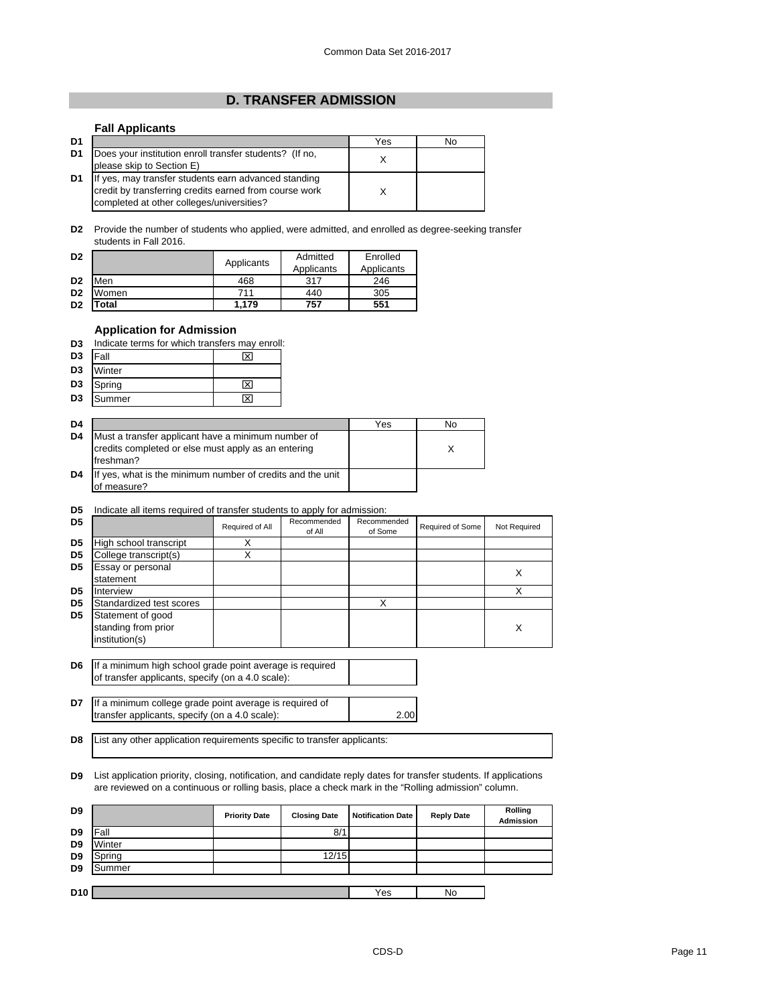## **D. TRANSFER ADMISSION**

## **Fall Applicants**

| D1 |                                                                                                                                                             | Yes | No |
|----|-------------------------------------------------------------------------------------------------------------------------------------------------------------|-----|----|
| D1 | Does your institution enroll transfer students? (If no,<br>please skip to Section E)                                                                        |     |    |
| D1 | If yes, may transfer students earn advanced standing<br>credit by transferring credits earned from course work<br>completed at other colleges/universities? |     |    |

**D2** Provide the number of students who applied, were admitted, and enrolled as degree-seeking transfer students in Fall 2016.

| D <sub>2</sub> |       | Applicants | Admitted<br>Applicants | Enrolled<br>Applicants |
|----------------|-------|------------|------------------------|------------------------|
| D <sub>2</sub> | Men   | 468        | 317                    | 246                    |
| D <sub>2</sub> | Women | 711        | 440                    | 305                    |
| D <sub>2</sub> | otal  | 1.179      | 757                    | 551                    |

## **Application for Admission**

|  |  | D3 Indicate terms for which transfers may enroll: |  |
|--|--|---------------------------------------------------|--|
|  |  |                                                   |  |

| D <sub>3</sub> | Fall   | $\overline{\mathsf{x}}$ |
|----------------|--------|-------------------------|
| D <sub>3</sub> | Winter |                         |
| D <sub>3</sub> | Spring | ⊠                       |
| D <sub>3</sub> | Summer | ਸ਼                      |

| D4             |                                                                                                                        | Yes | No |
|----------------|------------------------------------------------------------------------------------------------------------------------|-----|----|
| D <sub>4</sub> | Must a transfer applicant have a minimum number of<br>credits completed or else must apply as an entering<br>freshman? |     |    |
| D <sub>4</sub> | If yes, what is the minimum number of credits and the unit<br>of measure?                                              |     |    |

## **D5** Indicate all items required of transfer students to apply for admission:

| D <sub>5</sub> |                                                            | Required of All | Recommended<br>of All | Recommended<br>of Some | Required of Some | Not Required |
|----------------|------------------------------------------------------------|-----------------|-----------------------|------------------------|------------------|--------------|
| D <sub>5</sub> | High school transcript                                     |                 |                       |                        |                  |              |
| D <sub>5</sub> | College transcript(s)                                      |                 |                       |                        |                  |              |
| D <sub>5</sub> | Essay or personal<br>statement                             |                 |                       |                        |                  | X            |
| D <sub>5</sub> | Interview                                                  |                 |                       |                        |                  |              |
| D <sub>5</sub> | Standardized test scores                                   |                 |                       | Χ                      |                  |              |
| D <sub>5</sub> | Statement of good<br>standing from prior<br>institution(s) |                 |                       |                        |                  | X            |

**D6** If a minimum high school grade point average is required of transfer applicants, specify (on a 4.0 scale):

**D7** 2.00 If a minimum college grade point average is required of transfer applicants, specify (on a 4.0 scale):

**D8** List any other application requirements specific to transfer applicants:

**D9** List application priority, closing, notification, and candidate reply dates for transfer students. If applications are reviewed on a continuous or rolling basis, place a check mark in the "Rolling admission" column.

| D <sub>9</sub>  |        | <b>Priority Date</b> | <b>Closing Date</b> | <b>Notification Date</b> | <b>Reply Date</b> | Rolling<br>Admission |
|-----------------|--------|----------------------|---------------------|--------------------------|-------------------|----------------------|
| D <sub>9</sub>  | l Fall |                      | 8/1                 |                          |                   |                      |
| D <sub>9</sub>  | Winter |                      |                     |                          |                   |                      |
| D <sub>9</sub>  | Spring |                      | 12/15               |                          |                   |                      |
| D <sub>9</sub>  | Summer |                      |                     |                          |                   |                      |
|                 |        |                      |                     |                          |                   |                      |
| D <sub>10</sub> |        |                      |                     | Yes                      | No                |                      |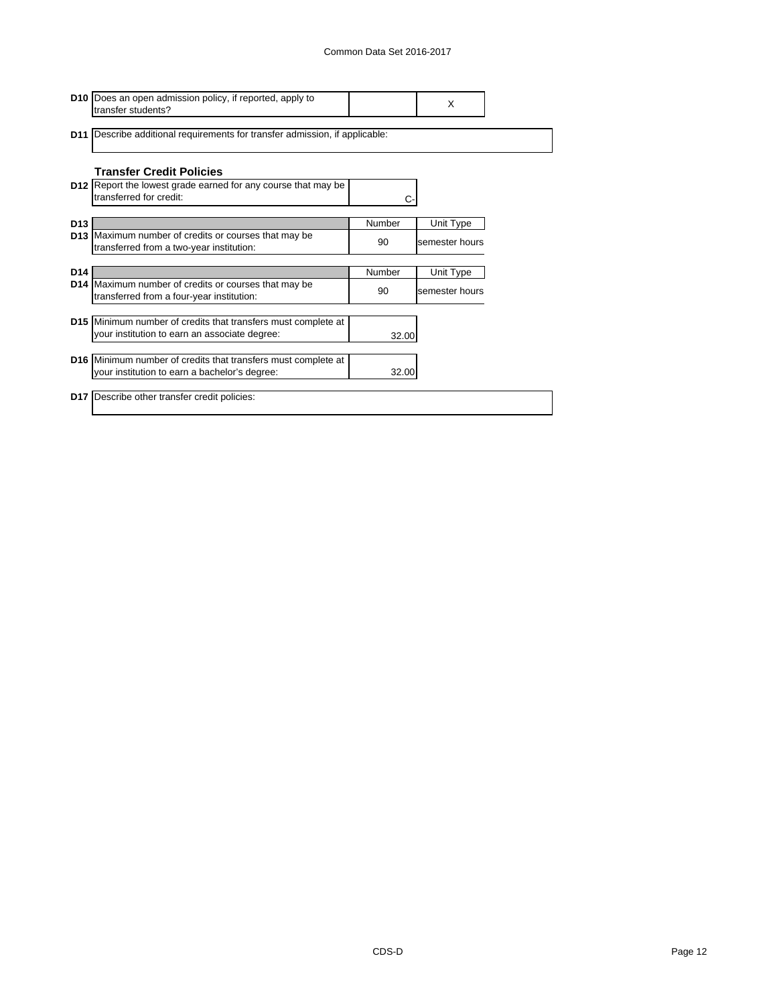|                 | <b>D10</b> Does an open admission policy, if reported, apply to<br>transfer students?                    |        | X              |  |
|-----------------|----------------------------------------------------------------------------------------------------------|--------|----------------|--|
|                 | <b>D11</b> Describe additional requirements for transfer admission, if applicable:                       |        |                |  |
|                 | <b>Transfer Credit Policies</b>                                                                          |        |                |  |
|                 | <b>D12</b> Report the lowest grade earned for any course that may be<br>transferred for credit:          |        |                |  |
| D <sub>13</sub> |                                                                                                          | Number | Unit Type      |  |
|                 | D13 Maximum number of credits or courses that may be<br>transferred from a two-year institution:         | 90     | semester hours |  |
|                 |                                                                                                          |        |                |  |
| D <sub>14</sub> |                                                                                                          | Number | Unit Type      |  |
|                 | <b>D14</b> Maximum number of credits or courses that may be<br>transferred from a four-year institution: | 90     | semester hours |  |
|                 |                                                                                                          |        |                |  |
|                 | D15 Minimum number of credits that transfers must complete at                                            |        |                |  |
|                 | your institution to earn an associate degree:                                                            | 32.00  |                |  |
|                 | <b>D16</b> Minimum number of credits that transfers must complete at                                     |        |                |  |
|                 | your institution to earn a bachelor's degree:                                                            | 32.00  |                |  |
|                 |                                                                                                          |        |                |  |
|                 | <b>D17</b> Describe other transfer credit policies:                                                      |        |                |  |
|                 |                                                                                                          |        |                |  |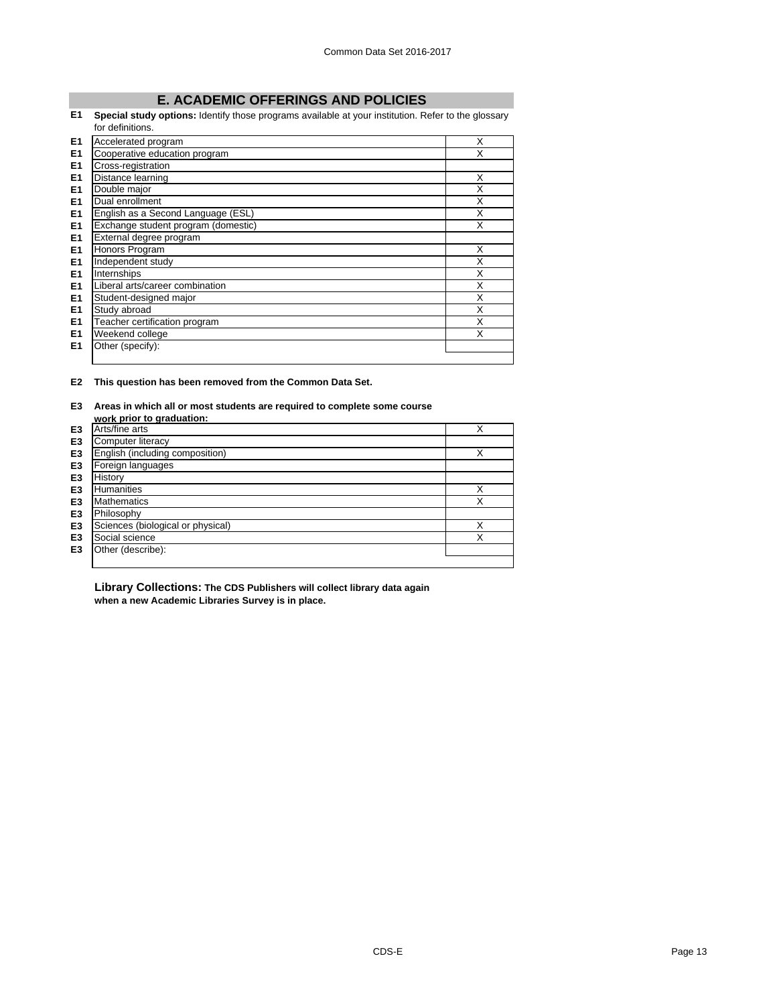## **E. ACADEMIC OFFERINGS AND POLICIES**

#### **E1 Special study options:** Identify those programs available at your institution. Refer to the glossary for definitions.

|                | iol genniuons.                      |   |
|----------------|-------------------------------------|---|
| E1             | Accelerated program                 | X |
| E <sub>1</sub> | Cooperative education program       | X |
| E <sub>1</sub> | Cross-registration                  |   |
| E <sub>1</sub> | Distance learning                   | X |
| E <sub>1</sub> | Double major                        | X |
| E1             | Dual enrollment                     | X |
| E <sub>1</sub> | English as a Second Language (ESL)  | X |
| E <sub>1</sub> | Exchange student program (domestic) | Χ |
| E <sub>1</sub> | External degree program             |   |
| E1             | Honors Program                      | X |
| E <sub>1</sub> | Independent study                   | X |
| E <sub>1</sub> | Internships                         | X |
| E <sub>1</sub> | Liberal arts/career combination     | X |
| E <sub>1</sub> | Student-designed major              | x |
| E <sub>1</sub> | Study abroad                        | X |
| E <sub>1</sub> | Teacher certification program       | X |
| E <sub>1</sub> | Weekend college                     | X |
| E <sub>1</sub> | Other (specify):                    |   |
|                |                                     |   |

**E2 This question has been removed from the Common Data Set.**

## **E3 Areas in which all or most students are required to complete some course**

|                | work prior to graduation:         |   |
|----------------|-----------------------------------|---|
| E <sub>3</sub> | Arts/fine arts                    | X |
| E <sub>3</sub> | Computer literacy                 |   |
| E <sub>3</sub> | English (including composition)   | X |
| E <sub>3</sub> | Foreign languages                 |   |
| E <sub>3</sub> | History                           |   |
| E <sub>3</sub> | Humanities                        | X |
| E <sub>3</sub> | <b>Mathematics</b>                | Χ |
| E <sub>3</sub> | Philosophy                        |   |
| E <sub>3</sub> | Sciences (biological or physical) | X |
| E <sub>3</sub> | Social science                    | X |
| E <sub>3</sub> | Other (describe):                 |   |
|                |                                   |   |

**Library Collections: The CDS Publishers will collect library data again when a new Academic Libraries Survey is in place.**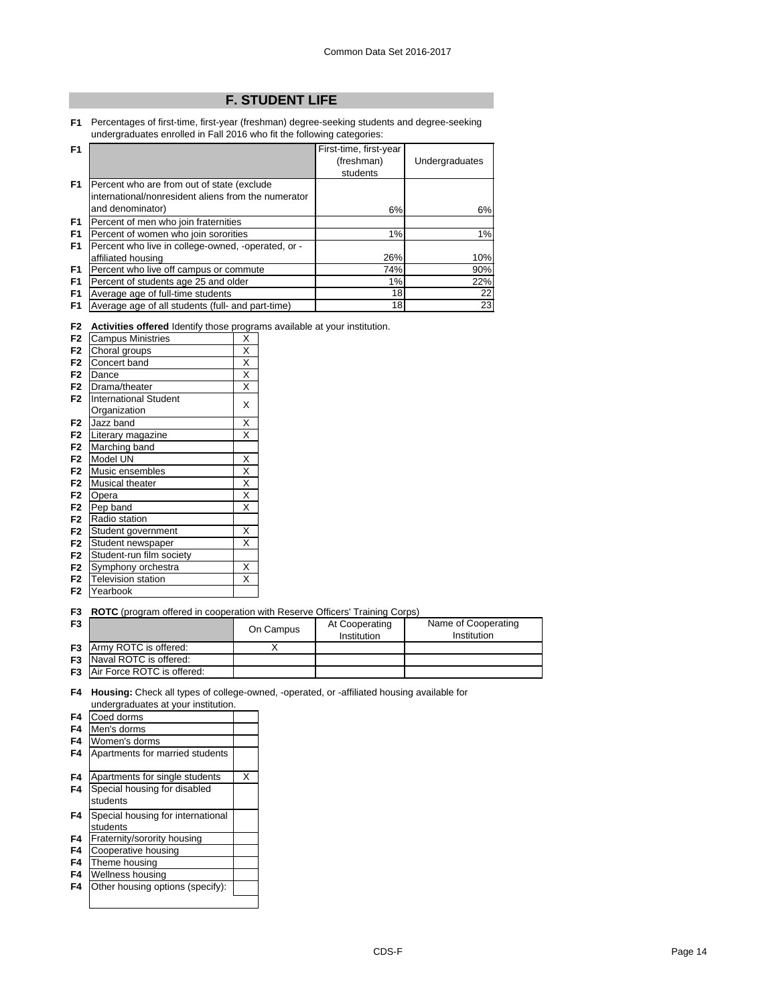## **F. STUDENT LIFE**

**F1** Percentages of first-time, first-year (freshman) degree-seeking students and degree-seeking undergraduates enrolled in Fall 2016 who fit the following categories:

| F <sub>1</sub> |                                                     | First-time, first-year |                |
|----------------|-----------------------------------------------------|------------------------|----------------|
|                |                                                     | (freshman)             | Undergraduates |
|                |                                                     | students               |                |
| F1             | Percent who are from out of state (exclude          |                        |                |
|                | international/nonresident aliens from the numerator |                        |                |
|                | and denominator)                                    | 6%                     | 6%             |
| F1             | Percent of men who join fraternities                |                        |                |
| F <sub>1</sub> | Percent of women who join sororities                | 1%                     | 1%             |
| F <sub>1</sub> | Percent who live in college-owned, -operated, or -  |                        |                |
|                | affiliated housing                                  | 26%                    | 10%            |
| F <sub>1</sub> | Percent who live off campus or commute              | 74%                    | 90%            |
| F <sub>1</sub> | Percent of students age 25 and older                | 1%                     | 22%            |
| F <sub>1</sub> | Average age of full-time students                   | 18                     | 22             |
| F <sub>1</sub> | Average age of all students (full- and part-time)   | 18                     | 23             |

|  |  |  | F2 Activities offered Identify those programs available at your institution. |
|--|--|--|------------------------------------------------------------------------------|

| F <sub>2</sub> | <b>Campus Ministries</b>     | Χ                       |
|----------------|------------------------------|-------------------------|
| F <sub>2</sub> | Choral groups                | Χ                       |
| F <sub>2</sub> | Concert band                 | $\overline{\mathsf{x}}$ |
| F <sub>2</sub> | Dance                        | $\overline{\mathsf{x}}$ |
| F <sub>2</sub> | Drama/theater                | X                       |
| F <sub>2</sub> | <b>International Student</b> | X                       |
|                | Organization                 |                         |
| F <sub>2</sub> | Jazz band                    | $\overline{\mathsf{x}}$ |
| F <sub>2</sub> | Literary magazine            | X                       |
| F <sub>2</sub> | Marching band                |                         |
| F <sub>2</sub> | Model UN                     | X                       |
| F <sub>2</sub> | Music ensembles              | X                       |
| F <sub>2</sub> | Musical theater              | $\overline{\mathsf{x}}$ |
| F <sub>2</sub> | Opera                        | $\overline{\mathsf{x}}$ |
| F <sub>2</sub> | Pep band                     | X                       |
| F <sub>2</sub> | Radio station                |                         |
| F <sub>2</sub> | Student government           | Χ                       |
| F <sub>2</sub> | Student newspaper            | X                       |
| F <sub>2</sub> | Student-run film society     |                         |
| F <sub>2</sub> | Symphony orchestra           | Χ                       |
| F <sub>2</sub> | <b>Television station</b>    | X                       |
| F <sub>2</sub> | Yearbook                     |                         |

**F2** Yearbook

**F3 ROTC** (program offered in cooperation with Reserve Officers' Training Corps)

| F <sub>3</sub> |                                      | On Campus | At Cooperating<br>Institution | Name of Cooperating<br>Institution |
|----------------|--------------------------------------|-----------|-------------------------------|------------------------------------|
|                | <b>F3</b> Army ROTC is offered:      |           |                               |                                    |
|                | <b>F3</b> Naval ROTC is offered:     |           |                               |                                    |
|                | <b>F3</b> Air Force ROTC is offered: |           |                               |                                    |

**F4 Housing:** Check all types of college-owned, -operated, or -affiliated housing available for undergraduates at your institution.

| F4             | Coed dorms                        |   |
|----------------|-----------------------------------|---|
| F <sub>4</sub> | Men's dorms                       |   |
| F4             | Women's dorms                     |   |
| F4             | Apartments for married students   |   |
|                |                                   |   |
| F4             | Apartments for single students    | x |
| F4             | Special housing for disabled      |   |
|                | students                          |   |
|                |                                   |   |
| F4             | Special housing for international |   |
|                | students                          |   |
| F4             | Fraternity/sorority housing       |   |
| F4             | Cooperative housing               |   |
| F4             | Theme housing                     |   |
| F4             | Wellness housing                  |   |
| F4             | Other housing options (specify):  |   |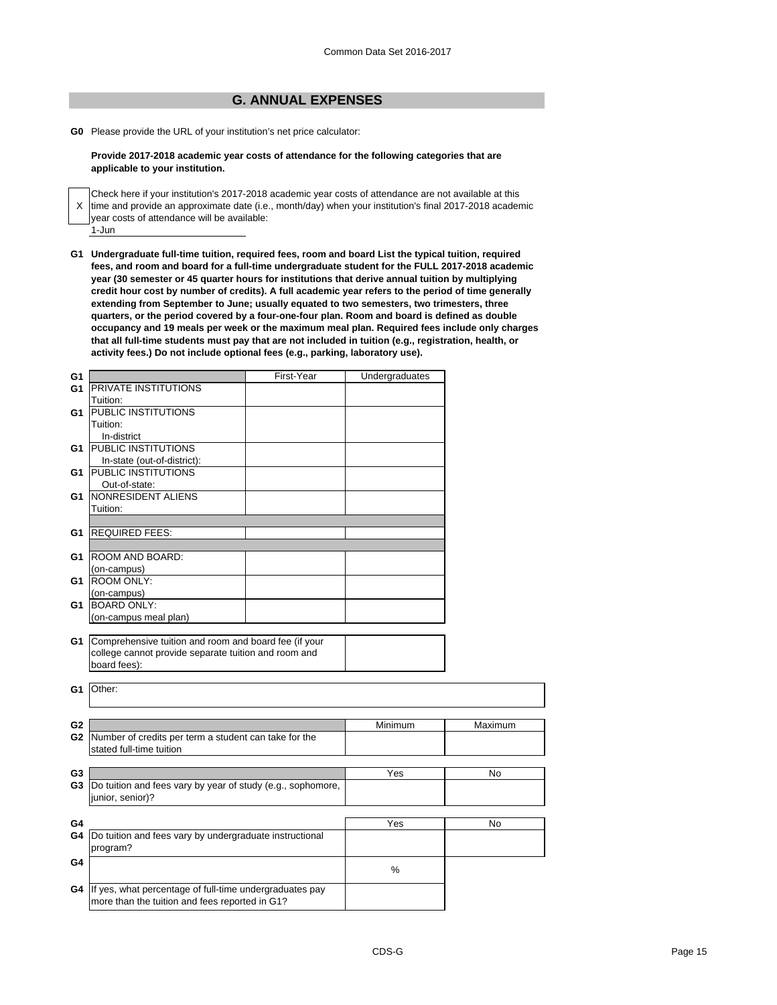## **G. ANNUAL EXPENSES**

**G0** Please provide the URL of your institution's net price calculator:

### **Provide 2017-2018 academic year costs of attendance for the following categories that are applicable to your institution.**

X time and provide an approximate date (i.e., month/day) when your institution's final 2017-2018 academic 1-Jun Check here if your institution's 2017-2018 academic year costs of attendance are not available at this year costs of attendance will be available:

**G1 Undergraduate full-time tuition, required fees, room and board List the typical tuition, required fees, and room and board for a full-time undergraduate student for the FULL 2017-2018 academic year (30 semester or 45 quarter hours for institutions that derive annual tuition by multiplying credit hour cost by number of credits). A full academic year refers to the period of time generally extending from September to June; usually equated to two semesters, two trimesters, three quarters, or the period covered by a four-one-four plan. Room and board is defined as double occupancy and 19 meals per week or the maximum meal plan. Required fees include only charges that all full-time students must pay that are not included in tuition (e.g., registration, health, or activity fees.) Do not include optional fees (e.g., parking, laboratory use).**

| G1                   |                                                             | First-Year | Undergraduates |         |
|----------------------|-------------------------------------------------------------|------------|----------------|---------|
| G1                   | <b>IPRIVATE INSTITUTIONS</b>                                |            |                |         |
|                      | Tuition:                                                    |            |                |         |
| G1                   | <b>PUBLIC INSTITUTIONS</b>                                  |            |                |         |
|                      | Tuition:                                                    |            |                |         |
|                      | In-district                                                 |            |                |         |
| G1                   | PUBLIC INSTITUTIONS                                         |            |                |         |
|                      | In-state (out-of-district):                                 |            |                |         |
| G1                   | PUBLIC INSTITUTIONS                                         |            |                |         |
|                      | Out-of-state:                                               |            |                |         |
| G1                   | NONRESIDENT ALIENS                                          |            |                |         |
|                      | Tuition:                                                    |            |                |         |
|                      |                                                             |            |                |         |
| G1                   | <b>REQUIRED FEES:</b>                                       |            |                |         |
|                      |                                                             |            |                |         |
| G1                   | <b>ROOM AND BOARD:</b>                                      |            |                |         |
|                      | (on-campus)                                                 |            |                |         |
| G1                   | <b>ROOM ONLY:</b>                                           |            |                |         |
|                      | (on-campus)                                                 |            |                |         |
| G1                   | <b>BOARD ONLY:</b>                                          |            |                |         |
|                      | (on-campus meal plan)                                       |            |                |         |
|                      |                                                             |            |                |         |
| G1                   | Comprehensive tuition and room and board fee (if your       |            |                |         |
|                      | college cannot provide separate tuition and room and        |            |                |         |
|                      | board fees):                                                |            |                |         |
|                      |                                                             |            |                |         |
| G1                   | Other:                                                      |            |                |         |
|                      |                                                             |            |                |         |
|                      |                                                             |            |                |         |
| G <sub>2</sub>       |                                                             |            | Minimum        | Maximum |
| G2                   | Number of credits per term a student can take for the       |            |                |         |
|                      | stated full-time tuition                                    |            |                |         |
|                      |                                                             |            |                |         |
| G3<br>G <sub>3</sub> | Do tuition and fees vary by year of study (e.g., sophomore, |            | Yes            | No      |
|                      | junior, senior)?                                            |            |                |         |
|                      |                                                             |            |                |         |
|                      |                                                             |            |                |         |
| G4                   |                                                             |            | Yes            | No      |
| G4                   | Do tuition and fees vary by undergraduate instructional     |            |                |         |
|                      | program?                                                    |            |                |         |
| G4                   |                                                             |            | %              |         |
|                      |                                                             |            |                |         |
| G4                   | If yes, what percentage of full-time undergraduates pay     |            |                |         |
|                      | more than the tuition and fees reported in G1?              |            |                |         |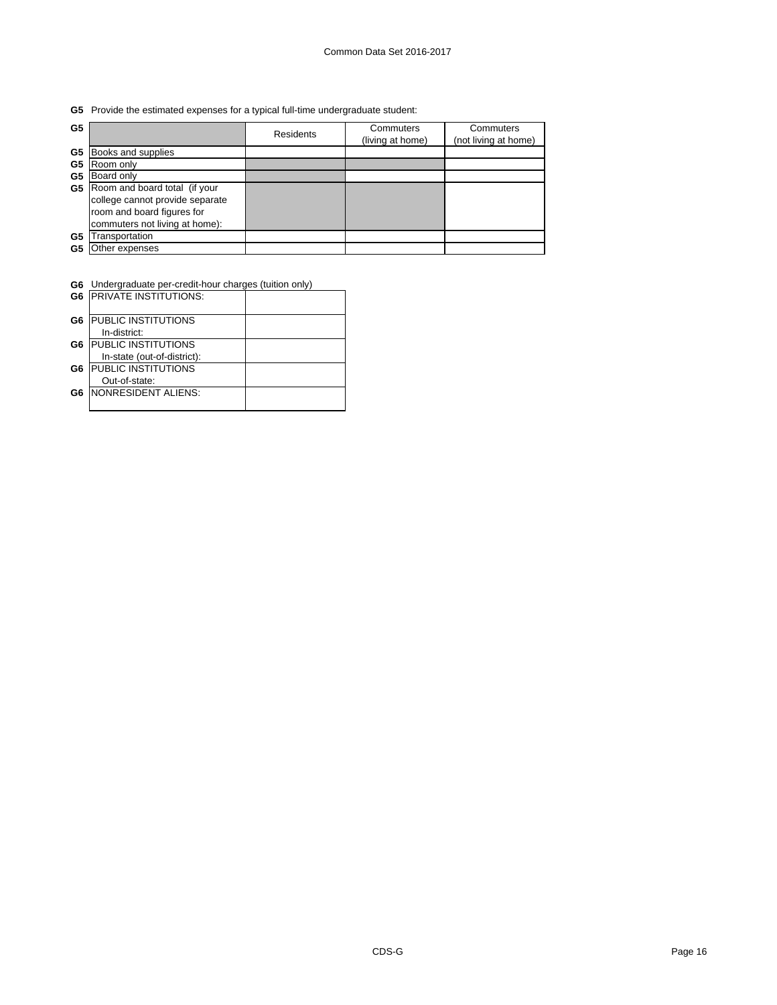**G5** Provide the estimated expenses for a typical full-time undergraduate student:

| G5 |                                 | Residents | Commuters<br>(living at home) | Commuters<br>(not living at home) |
|----|---------------------------------|-----------|-------------------------------|-----------------------------------|
| G5 | Books and supplies              |           |                               |                                   |
| G5 | Room only                       |           |                               |                                   |
| G5 | Board only                      |           |                               |                                   |
| G5 | Room and board total (if your   |           |                               |                                   |
|    | college cannot provide separate |           |                               |                                   |
|    | room and board figures for      |           |                               |                                   |
|    | commuters not living at home):  |           |                               |                                   |
| G5 | Transportation                  |           |                               |                                   |
| G5 | Other expenses                  |           |                               |                                   |

**G6** Undergraduate per-credit-hour charges (tuition only)

|    | <b>G6 PRIVATE INSTITUTIONS:</b> |  |
|----|---------------------------------|--|
| G6 | <b>PUBLIC INSTITUTIONS</b>      |  |
|    | In-district:                    |  |
| G6 | <b>PUBLIC INSTITUTIONS</b>      |  |
|    | In-state (out-of-district):     |  |
| G6 | <b>PUBLIC INSTITUTIONS</b>      |  |
|    | Out-of-state:                   |  |
| G6 | <b>INONRESIDENT ALIENS:</b>     |  |
|    |                                 |  |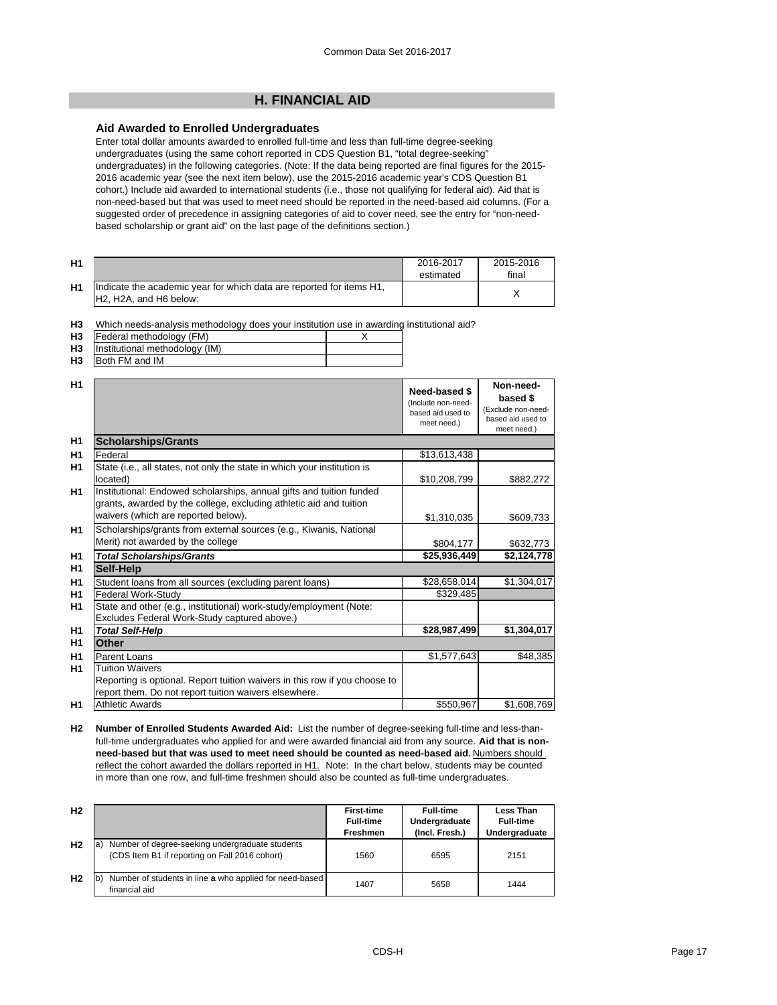## **H. FINANCIAL AID**

## **Aid Awarded to Enrolled Undergraduates**

Enter total dollar amounts awarded to enrolled full-time and less than full-time degree-seeking undergraduates (using the same cohort reported in CDS Question B1, "total degree-seeking" undergraduates) in the following categories. (Note: If the data being reported are final figures for the 2015- 2016 academic year (see the next item below), use the 2015-2016 academic year's CDS Question B1 cohort.) Include aid awarded to international students (i.e., those not qualifying for federal aid). Aid that is non-need-based but that was used to meet need should be reported in the need-based aid columns. (For a suggested order of precedence in assigning categories of aid to cover need, see the entry for "non-needbased scholarship or grant aid" on the last page of the definitions section.)

| H <sub>1</sub> |                                                                                                                                      | 2016-2017<br>estimated | 2015-2016<br>final |
|----------------|--------------------------------------------------------------------------------------------------------------------------------------|------------------------|--------------------|
| H <sub>1</sub> | Indicate the academic year for which data are reported for items H1,<br>H <sub>2</sub> . H <sub>2</sub> A, and H <sub>6</sub> below: |                        |                    |

**H3** Which needs-analysis methodology does your institution use in awarding institutional aid?

|     | <b>H3</b>   Federal methodology (FM)     |  |
|-----|------------------------------------------|--|
|     | <b>H3</b> Institutional methodology (IM) |  |
| --- |                                          |  |

**H3** Both FM and IM

| H1             |                                                                                                                                                                                   | Need-based \$<br>(Include non-need-<br>based aid used to<br>meet need.) | Non-need-<br>based \$<br>(Exclude non-need-<br>based aid used to<br>meet need.) |
|----------------|-----------------------------------------------------------------------------------------------------------------------------------------------------------------------------------|-------------------------------------------------------------------------|---------------------------------------------------------------------------------|
| H1             | <b>Scholarships/Grants</b>                                                                                                                                                        |                                                                         |                                                                                 |
| H <sub>1</sub> | Federal                                                                                                                                                                           | \$13,613,438                                                            |                                                                                 |
| H1             | State (i.e., all states, not only the state in which your institution is<br>located)                                                                                              | \$10,208,799                                                            | \$882,272                                                                       |
| H1             | Institutional: Endowed scholarships, annual gifts and tuition funded<br>grants, awarded by the college, excluding athletic aid and tuition<br>waivers (which are reported below). | \$1,310,035                                                             | \$609,733                                                                       |
| H1             | Scholarships/grants from external sources (e.g., Kiwanis, National<br>Merit) not awarded by the college                                                                           | \$804,177                                                               | \$632,773                                                                       |
| H <sub>1</sub> | <b>Total Scholarships/Grants</b>                                                                                                                                                  | \$25,936,449                                                            | \$2,124,778                                                                     |
| H1             | Self-Help                                                                                                                                                                         |                                                                         |                                                                                 |
| H1             | Student loans from all sources (excluding parent loans)                                                                                                                           | \$28,658,014                                                            | \$1,304,017                                                                     |
| H <sub>1</sub> | Federal Work-Study                                                                                                                                                                | \$329,485                                                               |                                                                                 |
| H <sub>1</sub> | State and other (e.g., institutional) work-study/employment (Note:<br>Excludes Federal Work-Study captured above.)                                                                |                                                                         |                                                                                 |
| H1             | <b>Total Self-Help</b>                                                                                                                                                            | \$28,987,499                                                            | \$1,304,017                                                                     |
| H <sub>1</sub> | Other                                                                                                                                                                             |                                                                         |                                                                                 |
| H1             | Parent Loans                                                                                                                                                                      | \$1,577,643                                                             | \$48,385                                                                        |
| H <sub>1</sub> | <b>Tuition Waivers</b>                                                                                                                                                            |                                                                         |                                                                                 |
|                | Reporting is optional. Report tuition waivers in this row if you choose to                                                                                                        |                                                                         |                                                                                 |
|                | report them. Do not report tuition waivers elsewhere.                                                                                                                             |                                                                         |                                                                                 |
| H1             | <b>Athletic Awards</b>                                                                                                                                                            | \$550,967                                                               | \$1,608,769                                                                     |

**H2 Number of Enrolled Students Awarded Aid:** List the number of degree-seeking full-time and less-thanfull-time undergraduates who applied for and were awarded financial aid from any source. **Aid that is nonneed-based but that was used to meet need should be counted as need-based aid.** Numbers should reflect the cohort awarded the dollars reported in H1. Note: In the chart below, students may be counted in more than one row, and full-time freshmen should also be counted as full-time undergraduates.

| H <sub>2</sub> |                                                                                                         | <b>First-time</b><br><b>Full-time</b><br>Freshmen | <b>Full-time</b><br>Undergraduate<br>(Incl. Fresh.) | Less Than<br><b>Full-time</b><br>Undergraduate |
|----------------|---------------------------------------------------------------------------------------------------------|---------------------------------------------------|-----------------------------------------------------|------------------------------------------------|
| H <sub>2</sub> | Number of degree-seeking undergraduate students<br>la<br>(CDS Item B1 if reporting on Fall 2016 cohort) | 1560                                              | 6595                                                | 2151                                           |
| H <sub>2</sub> | Number of students in line a who applied for need-based<br>financial aid                                | 1407                                              | 5658                                                | 1444                                           |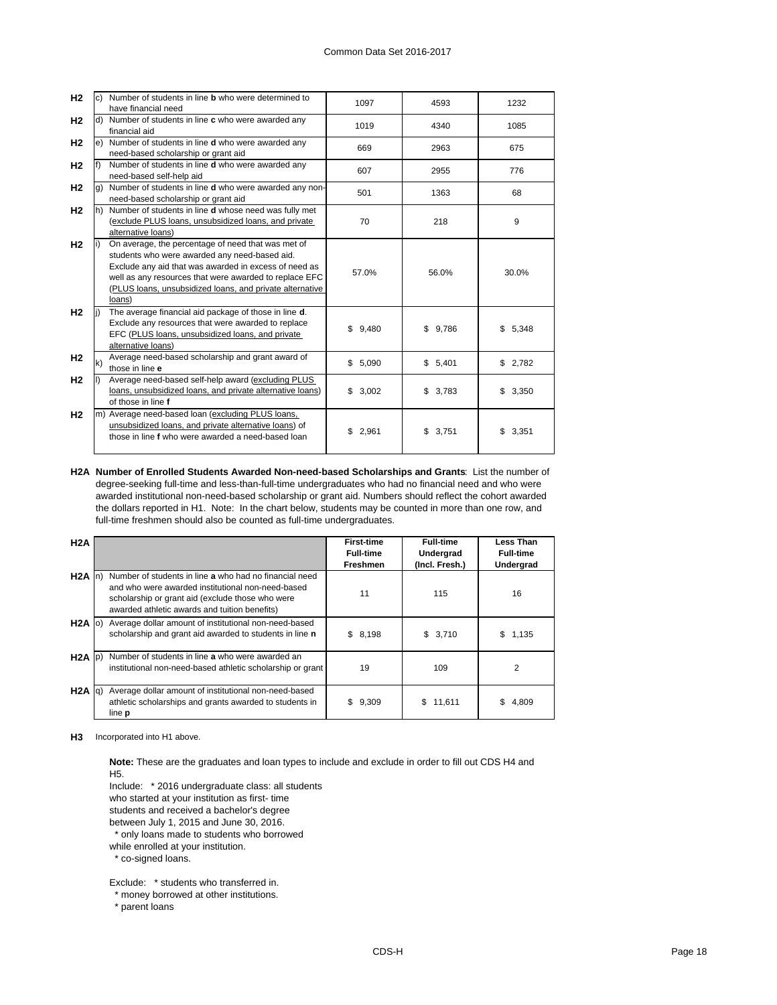| H <sub>2</sub> |    | Number of students in line <b>b</b> who were determined to | 1097        | 4593    | 1232         |
|----------------|----|------------------------------------------------------------|-------------|---------|--------------|
|                |    | have financial need                                        |             |         |              |
| H <sub>2</sub> |    | Number of students in line c who were awarded any          | 1019        | 4340    | 1085         |
|                |    | financial aid                                              |             |         |              |
| H <sub>2</sub> |    | e) Number of students in line d who were awarded any       | 669         | 2963    | 675          |
|                |    | need-based scholarship or grant aid                        |             |         |              |
| H <sub>2</sub> |    | Number of students in line d who were awarded any          | 607         | 2955    | 776          |
|                |    | need-based self-help aid                                   |             |         |              |
| H <sub>2</sub> |    | Number of students in line d who were awarded any non-     | 501         | 1363    | 68           |
|                |    | need-based scholarship or grant aid                        |             |         |              |
| H <sub>2</sub> | h) | Number of students in line d whose need was fully met      |             |         |              |
|                |    | (exclude PLUS loans, unsubsidized loans, and private       | 70          | 218     | 9            |
|                |    | alternative loans)                                         |             |         |              |
| H <sub>2</sub> |    | On average, the percentage of need that was met of         |             |         |              |
|                |    | students who were awarded any need-based aid.              |             | 56.0%   | 30.0%        |
|                |    | Exclude any aid that was awarded in excess of need as      | 57.0%       |         |              |
|                |    | well as any resources that were awarded to replace EFC     |             |         |              |
|                |    | (PLUS loans, unsubsidized loans, and private alternative   |             |         |              |
|                |    | loans)                                                     |             |         |              |
| H <sub>2</sub> |    | The average financial aid package of those in line d.      |             |         |              |
|                |    | Exclude any resources that were awarded to replace         | \$9,480     | \$9.786 | \$5,348      |
|                |    | EFC (PLUS loans, unsubsidized loans, and private           |             |         |              |
|                |    | alternative loans)                                         |             |         |              |
| H <sub>2</sub> | k) | Average need-based scholarship and grant award of          | \$5,090     | \$5,401 | \$2,782      |
|                |    | those in line e                                            |             |         |              |
| H <sub>2</sub> |    | Average need-based self-help award (excluding PLUS         |             |         |              |
|                |    | loans, unsubsidized loans, and private alternative loans)  | \$3,002     | \$3,783 | \$3,350      |
|                |    | of those in line f                                         |             |         |              |
| H <sub>2</sub> |    | m) Average need-based loan (excluding PLUS loans,          |             | \$3,751 |              |
|                |    | unsubsidized loans, and private alternative loans) of      | \$<br>2,961 |         | \$.<br>3,351 |
|                |    | those in line f who were awarded a need-based loan         |             |         |              |
|                |    |                                                            |             |         |              |

**H2A Number of Enrolled Students Awarded Non-need-based Scholarships and Grants**: List the number of degree-seeking full-time and less-than-full-time undergraduates who had no financial need and who were awarded institutional non-need-based scholarship or grant aid. Numbers should reflect the cohort awarded the dollars reported in H1. Note: In the chart below, students may be counted in more than one row, and full-time freshmen should also be counted as full-time undergraduates.

| H2A         |                                                                                                                                                                                                                  | <b>First-time</b><br><b>Full-time</b><br>Freshmen | <b>Full-time</b><br>Undergrad<br>(Incl. Fresh.) | <b>Less Than</b><br><b>Full-time</b><br>Undergrad |
|-------------|------------------------------------------------------------------------------------------------------------------------------------------------------------------------------------------------------------------|---------------------------------------------------|-------------------------------------------------|---------------------------------------------------|
| $H2A$ In)   | Number of students in line a who had no financial need<br>and who were awarded institutional non-need-based<br>scholarship or grant aid (exclude those who were<br>awarded athletic awards and tuition benefits) | 11                                                | 115                                             | 16                                                |
| $H2A$ (0)   | Average dollar amount of institutional non-need-based<br>scholarship and grant aid awarded to students in line n                                                                                                 | \$<br>8,198                                       | \$3,710                                         | \$<br>1,135                                       |
| $H2A$ (p)   | Number of students in line a who were awarded an<br>institutional non-need-based athletic scholarship or grant                                                                                                   | 19                                                | 109                                             | 2                                                 |
| $H2A$ $q$ ) | Average dollar amount of institutional non-need-based<br>athletic scholarships and grants awarded to students in<br>line <b>p</b>                                                                                | \$<br>9,309                                       | 11,611<br>S.                                    | 4,809                                             |

**H3** Incorporated into H1 above.

**Note:** These are the graduates and loan types to include and exclude in order to fill out CDS H4 and H5.

Include: \* 2016 undergraduate class: all students

who started at your institution as first- time

students and received a bachelor's degree

between July 1, 2015 and June 30, 2016.

\* only loans made to students who borrowed

while enrolled at your institution.

\* co-signed loans.

Exclude: \* students who transferred in.

\* money borrowed at other institutions.

\* parent loans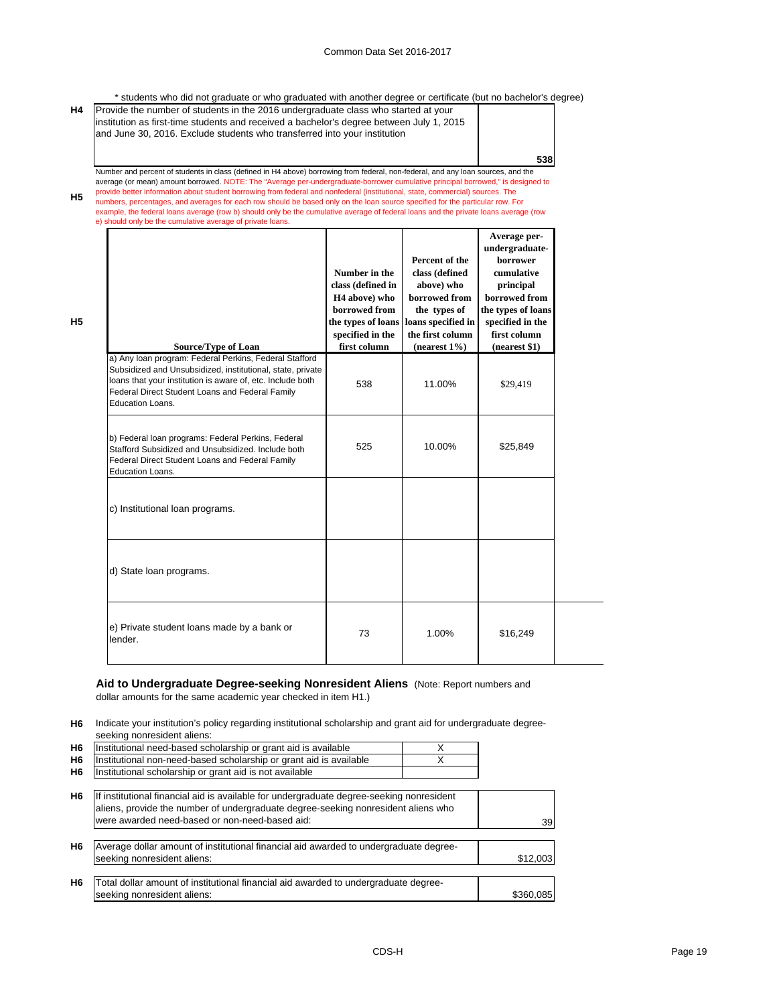\* students who did not graduate or who graduated with another degree or certificate (but no bachelor's degree)

| Provide the number of students in the 2016 undergraduate class who started at your        |
|-------------------------------------------------------------------------------------------|
| linstitution as first-time students and received a bachelor's degree between July 1, 2015 |
|                                                                                           |
|                                                                                           |
| 538                                                                                       |
|                                                                                           |

**H5** Number and percent of students in class (defined in H4 above) borrowing from federal, non-federal, and any loan sources, and the average (or mean) amount borrowed. NOTE: The "Average per-undergraduate-borrower cumulative principal borrowed," is designed to<br>provide better information about student borrowing from federal and nonfederal (institutional, numbers, percentages, and averages for each row should be based only on the loan source specified for the particular row. For example, the federal loans average (row b) should only be the cumulative average of federal loans and the private loans average (row

e) should only be the cumulative average of private lo

**H5**

| <b>Source/Type of Loan</b>                                                                                                                                                                                                                                | Number in the<br>class (defined in<br>H <sub>4</sub> above) who<br>borrowed from<br>the types of loans<br>specified in the<br>first column | Percent of the<br>class (defined<br>above) who<br>borrowed from<br>the types of<br>loans specified in<br>the first column<br>$(nearest 1\%)$ | Average per-<br>undergraduate-<br>borrower<br>cumulative<br>principal<br>borrowed from<br>the types of loans<br>specified in the<br>first column<br>(nearest \$1) |
|-----------------------------------------------------------------------------------------------------------------------------------------------------------------------------------------------------------------------------------------------------------|--------------------------------------------------------------------------------------------------------------------------------------------|----------------------------------------------------------------------------------------------------------------------------------------------|-------------------------------------------------------------------------------------------------------------------------------------------------------------------|
| a) Any loan program: Federal Perkins, Federal Stafford<br>Subsidized and Unsubsidized, institutional, state, private<br>loans that your institution is aware of, etc. Include both<br>Federal Direct Student Loans and Federal Family<br>Education Loans. | 538                                                                                                                                        | 11.00%                                                                                                                                       | \$29,419                                                                                                                                                          |
| b) Federal loan programs: Federal Perkins, Federal<br>Stafford Subsidized and Unsubsidized. Include both<br>Federal Direct Student Loans and Federal Family<br>Education Loans.                                                                           | 525                                                                                                                                        | 10.00%                                                                                                                                       | \$25,849                                                                                                                                                          |
| c) Institutional loan programs.                                                                                                                                                                                                                           |                                                                                                                                            |                                                                                                                                              |                                                                                                                                                                   |
| d) State loan programs.                                                                                                                                                                                                                                   |                                                                                                                                            |                                                                                                                                              |                                                                                                                                                                   |
| e) Private student loans made by a bank or<br>lender.                                                                                                                                                                                                     | 73                                                                                                                                         | 1.00%                                                                                                                                        | \$16,249                                                                                                                                                          |

# **Aid to Undergraduate Degree-seeking Nonresident Aliens** (Note: Report numbers and

dollar amounts for the same academic year checked in item H1.)

**H6** Indicate your institution's policy regarding institutional scholarship and grant aid for undergraduate degreeseeking nonresident aliens:

| H <sub>6</sub> | Institutional need-based scholarship or grant aid is available     |  |
|----------------|--------------------------------------------------------------------|--|
| <b>H6</b>      | Institutional non-need-based scholarship or grant aid is available |  |
| H <sub>6</sub> | Institutional scholarship or grant aid is not available            |  |
|                |                                                                    |  |

| H <sub>6</sub> | If institutional financial aid is available for undergraduate degree-seeking nonresident<br>aliens, provide the number of undergraduate degree-seeking nonresident aliens who |           |
|----------------|-------------------------------------------------------------------------------------------------------------------------------------------------------------------------------|-----------|
|                | were awarded need-based or non-need-based aid:                                                                                                                                | 39        |
|                |                                                                                                                                                                               |           |
| H <sub>6</sub> | Average dollar amount of institutional financial aid awarded to undergraduate degree-                                                                                         |           |
|                | seeking nonresident aliens:                                                                                                                                                   | \$12,003  |
|                |                                                                                                                                                                               |           |
| H <sub>6</sub> | Total dollar amount of institutional financial aid awarded to undergraduate degree-                                                                                           |           |
|                | seeking nonresident aliens:                                                                                                                                                   | \$360.085 |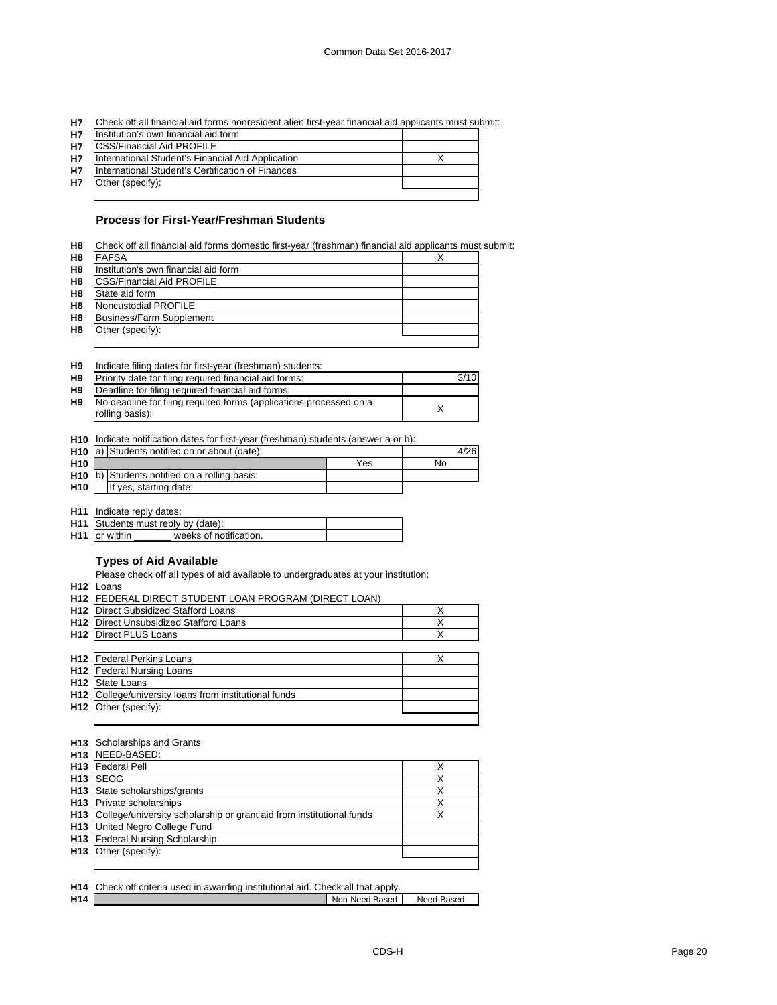| H7 Check off all financial aid forms nonresident alien first-year financial aid applicants must submit: |  |  |
|---------------------------------------------------------------------------------------------------------|--|--|
|                                                                                                         |  |  |

| <b>H7</b> | Institution's own financial aid form              |  |
|-----------|---------------------------------------------------|--|
| <b>H7</b> | <b>CSS/Financial Aid PROFILE</b>                  |  |
| <b>H7</b> | International Student's Financial Aid Application |  |
| <b>H7</b> | International Student's Certification of Finances |  |
| <b>H7</b> | Other (specify):                                  |  |
|           |                                                   |  |

## **Process for First-Year/Freshman Students**

|  | H8 Check off all financial aid forms domestic first-year (freshman) financial aid applicants must submit: |  |  |  |
|--|-----------------------------------------------------------------------------------------------------------|--|--|--|
|--|-----------------------------------------------------------------------------------------------------------|--|--|--|

| H <sub>8</sub> | <b>FAFSA</b>                         |  |
|----------------|--------------------------------------|--|
| H <sub>8</sub> | Institution's own financial aid form |  |
| H8             | <b>ICSS/Financial Aid PROFILE</b>    |  |
| H <sub>8</sub> | State aid form                       |  |
| H <sub>8</sub> | Noncustodial PROFILE                 |  |
| H <sub>8</sub> | Business/Farm Supplement             |  |
| H <sub>8</sub> | Other (specify):                     |  |
|                |                                      |  |

|  | H9 | Indicate filing dates for first-year (freshman) students: |  |  |  |  |  |
|--|----|-----------------------------------------------------------|--|--|--|--|--|
|--|----|-----------------------------------------------------------|--|--|--|--|--|

| H <sub>9</sub> | Priority date for filing required financial aid forms:             | 3/10 |
|----------------|--------------------------------------------------------------------|------|
| H <sub>9</sub> | Deadline for filing required financial aid forms:                  |      |
| H <sub>9</sub> | No deadline for filing required forms (applications processed on a |      |
|                | rolling basis):                                                    |      |

**H10** Indicate notification dates for first-year (freshman) students (answer a or b):

|                 | H <sub>10</sub> a) Students notified on or about (date):    | 4/26 |    |  |
|-----------------|-------------------------------------------------------------|------|----|--|
| H <sub>10</sub> |                                                             | Yes  | No |  |
|                 | <b>H10</b> $\vert$ b) Students notified on a rolling basis: |      |    |  |
| H <sub>10</sub> | If yes, starting date:                                      |      |    |  |

**H11** Indicate reply dates:

|                       | <b>H11</b> Students must reply by (date): |  |  |  |  |
|-----------------------|-------------------------------------------|--|--|--|--|
| <b>H11</b> for within | weeks of notification.                    |  |  |  |  |

## **Types of Aid Available**

Please check off all types of aid available to undergraduates at your institution:

**H12** Loans

|                 | <b>H12 FEDERAL DIRECT STUDENT LOAN PROGRAM (DIRECT LOAN)</b> |   |
|-----------------|--------------------------------------------------------------|---|
| H <sub>12</sub> | Direct Subsidized Stafford Loans                             | X |
| H <sub>12</sub> | Direct Unsubsidized Stafford Loans                           |   |
| H <sub>12</sub> | Direct PLUS Loans                                            | X |
|                 |                                                              |   |
|                 | <b>H12</b> Federal Perkins Loans                             | x |
|                 | H12 Federal Nursing Loans                                    |   |
| H <sub>12</sub> | State Loans                                                  |   |
| H <sub>12</sub> | College/university loans from institutional funds            |   |
| H <sub>12</sub> | Other (specify):                                             |   |
|                 |                                                              |   |

#### **H13** Scholarships and Grants

| H13 NEED-BASED:                                                          |   |
|--------------------------------------------------------------------------|---|
| <b>H13</b> Federal Pell                                                  |   |
| H <sub>13</sub> ISEOG                                                    |   |
| H <sub>13</sub> State scholarships/grants                                | v |
| <b>H13</b> Private scholarships                                          | х |
| H13 College/university scholarship or grant aid from institutional funds | v |
| <b>H13</b> United Negro College Fund                                     |   |
| H13 Federal Nursing Scholarship                                          |   |
| H <sub>13</sub> Other (specify):                                         |   |
|                                                                          |   |

|                 | <b>H14</b> Check off criteria used in awarding institutional aid. Check all that apply. |                |            |
|-----------------|-----------------------------------------------------------------------------------------|----------------|------------|
| H <sub>14</sub> |                                                                                         | Non-Need Based | Need-Based |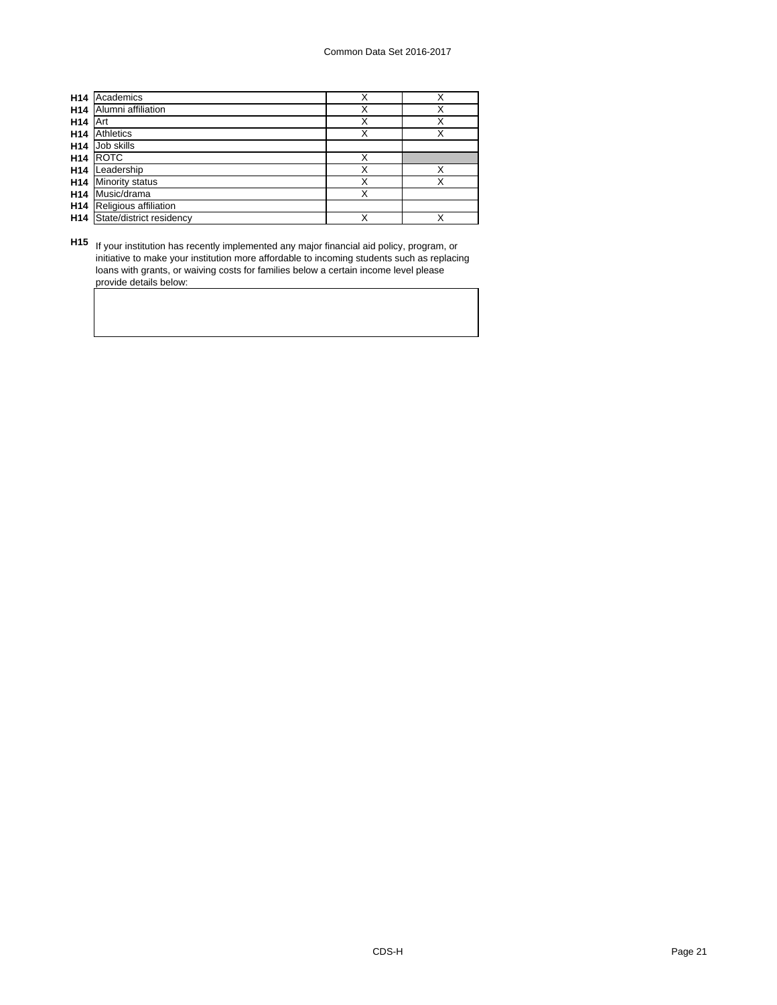| H <sub>14</sub> | Academics                | Χ | Χ |
|-----------------|--------------------------|---|---|
| H <sub>14</sub> | Alumni affiliation       | Χ | Χ |
| H <sub>14</sub> | Art                      | X | Χ |
| H <sub>14</sub> | Athletics                | Χ | Х |
| H <sub>14</sub> | Job skills               |   |   |
| H <sub>14</sub> | <b>ROTC</b>              | X |   |
| H <sub>14</sub> | Leadership               | X | X |
| H <sub>14</sub> | <b>Minority status</b>   | Χ | Χ |
| H <sub>14</sub> | Music/drama              | Χ |   |
| H <sub>14</sub> | Religious affiliation    |   |   |
| H <sub>14</sub> | State/district residency |   |   |

**H15** If your institution has recently implemented any major financial aid policy, program, or initiative to make your institution more affordable to incoming students such as replacing loans with grants, or waiving costs for families below a certain income level please provide details below: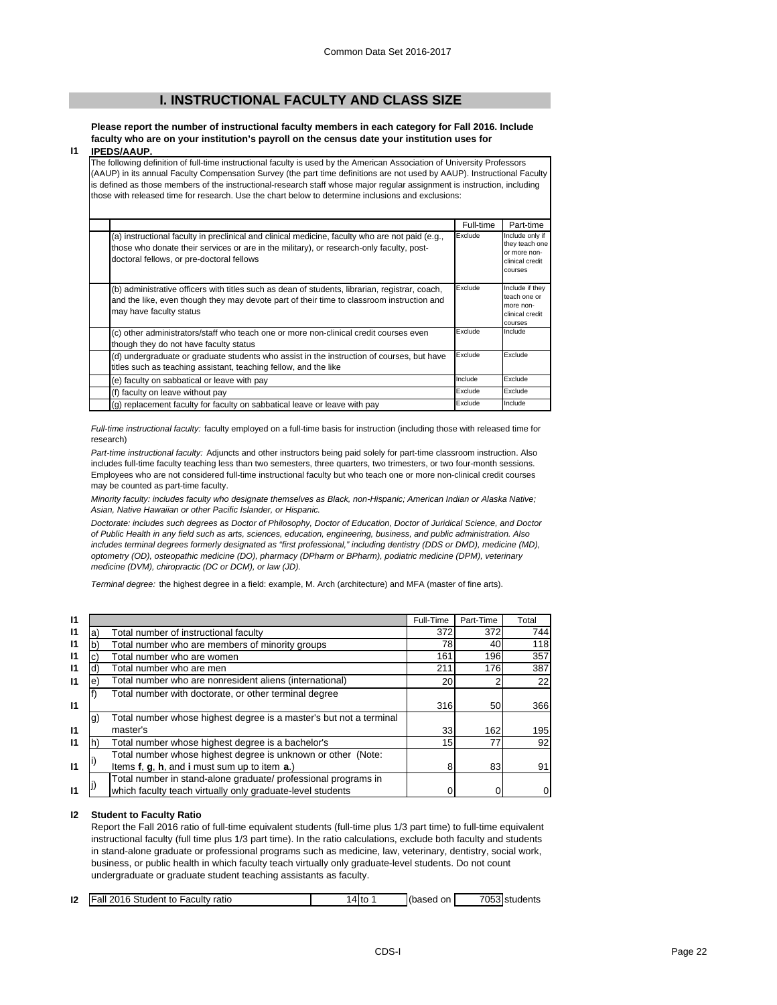## **I. INSTRUCTIONAL FACULTY AND CLASS SIZE**

**Please report the number of instructional faculty members in each category for Fall 2016. Include faculty who are on your institution's payroll on the census date your institution uses for** 

#### **I1 IPEDS/AAUP.**

The following definition of full-time instructional faculty is used by the American Association of University Professors (AAUP) in its annual Faculty Compensation Survey (the part time definitions are not used by AAUP). Instructional Faculty is defined as those members of the instructional-research staff whose major regular assignment is instruction, including those with released time for research. Use the chart below to determine inclusions and exclusions:

|                                                                                                                                                                                                                                          | Full-time | Part-time                                                                       |
|------------------------------------------------------------------------------------------------------------------------------------------------------------------------------------------------------------------------------------------|-----------|---------------------------------------------------------------------------------|
| (a) instructional faculty in preclinical and clinical medicine, faculty who are not paid (e.g.,<br>those who donate their services or are in the military), or research-only faculty, post-<br>doctoral fellows, or pre-doctoral fellows | Exclude   | Include only if<br>they teach one<br>or more non-<br>clinical credit<br>courses |
| (b) administrative officers with titles such as dean of students, librarian, registrar, coach,<br>and the like, even though they may devote part of their time to classroom instruction and<br>may have faculty status                   | Exclude   | Include if they<br>teach one or<br>more non-<br>clinical credit<br>courses      |
| (c) other administrators/staff who teach one or more non-clinical credit courses even<br>though they do not have faculty status                                                                                                          | Exclude   | Include                                                                         |
| (d) undergraduate or graduate students who assist in the instruction of courses, but have<br>titles such as teaching assistant, teaching fellow, and the like                                                                            | Exclude   | Exclude                                                                         |
| (e) faculty on sabbatical or leave with pay                                                                                                                                                                                              | Include   | Exclude                                                                         |
| (f) faculty on leave without pay                                                                                                                                                                                                         | Exclude   | Exclude                                                                         |
| (g) replacement faculty for faculty on sabbatical leave or leave with pay                                                                                                                                                                | Exclude   | Include                                                                         |

*Full-time instructional faculty:* faculty employed on a full-time basis for instruction (including those with released time for research)

*Part-time instructional faculty:* Adjuncts and other instructors being paid solely for part-time classroom instruction. Also includes full-time faculty teaching less than two semesters, three quarters, two trimesters, or two four-month sessions. Employees who are not considered full-time instructional faculty but who teach one or more non-clinical credit courses may be counted as part-time faculty.

*Minority faculty: includes faculty who designate themselves as Black, non-Hispanic; American Indian or Alaska Native; Asian, Native Hawaiian or other Pacific Islander, or Hispanic.* 

*Doctorate: includes such degrees as Doctor of Philosophy, Doctor of Education, Doctor of Juridical Science, and Doctor of Public Health in any field such as arts, sciences, education, engineering, business, and public administration. Also*  includes terminal degrees formerly designated as "first professional," including dentistry (DDS or DMD), medicine (MD), *optometry (OD), osteopathic medicine (DO), pharmacy (DPharm or BPharm), podiatric medicine (DPM), veterinary medicine (DVM), chiropractic (DC or DCM), or law (JD).*

*Terminal degree:* the highest degree in a field: example, M. Arch (architecture) and MFA (master of fine arts).

| 11           |    |                                                                    | Full-Time | Part-Time | Total |
|--------------|----|--------------------------------------------------------------------|-----------|-----------|-------|
| 11           | a) | Total number of instructional faculty                              | 372       | 372       | 744   |
| 11           | b  | Total number who are members of minority groups                    | 781       | 40        | 118   |
| 11           | C) | Total number who are women                                         | 161       | 196       | 357   |
| 11           | d) | Total number who are men                                           | 211       | 176       | 387   |
| $\mathbf{I}$ | e) | Total number who are nonresident aliens (international)            | 20        | 2         | 22    |
|              |    | Total number with doctorate, or other terminal degree              |           |           |       |
| $\mathsf{I}$ |    |                                                                    | 316       | 50        | 366   |
|              | g) | Total number whose highest degree is a master's but not a terminal |           |           |       |
| $\mathbf{I}$ |    | master's                                                           | 33        | 162       | 195   |
| 11           |    | Total number whose highest degree is a bachelor's                  | 15        | 77        | 92    |
|              |    | Total number whose highest degree is unknown or other (Note:       |           |           |       |
| $\mathbf{I}$ |    | Items f, g, h, and i must sum up to item a.)                       | 8         | 83        | 91    |
|              |    | Total number in stand-alone graduate/ professional programs in     |           |           |       |
| 11           |    | which faculty teach virtually only graduate-level students         |           |           | 0     |

#### **I2 Student to Faculty Ratio**

Report the Fall 2016 ratio of full-time equivalent students (full-time plus 1/3 part time) to full-time equivalent instructional faculty (full time plus 1/3 part time). In the ratio calculations, exclude both faculty and students in stand-alone graduate or professional programs such as medicine, law, veterinary, dentistry, social work, business, or public health in which faculty teach virtually only graduate-level students. Do not count undergraduate or graduate student teaching assistants as faculty.

| 12 | <b>Fall 2016 Student to Faculty</b><br>ratio | 4 to | (based on | 7053 students |
|----|----------------------------------------------|------|-----------|---------------|
|    |                                              |      |           |               |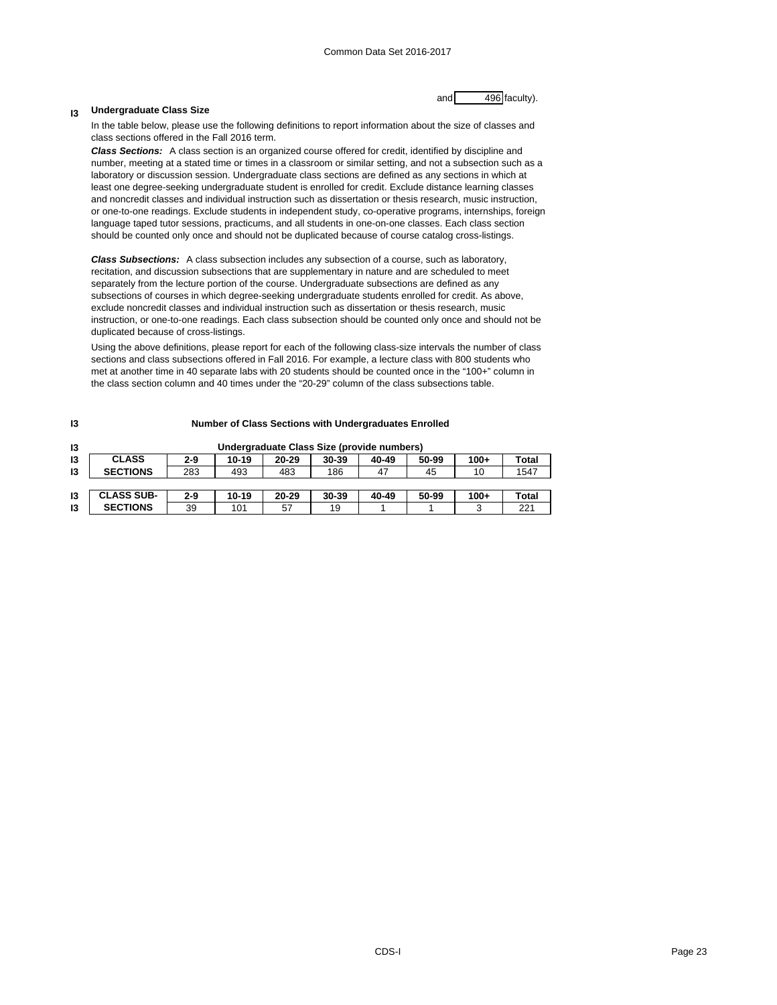#### **I3 Undergraduate Class Size**

and 496 faculty).

In the table below, please use the following definitions to report information about the size of classes and class sections offered in the Fall 2016 term.

*Class Sections:* A class section is an organized course offered for credit, identified by discipline and number, meeting at a stated time or times in a classroom or similar setting, and not a subsection such as a laboratory or discussion session. Undergraduate class sections are defined as any sections in which at least one degree-seeking undergraduate student is enrolled for credit. Exclude distance learning classes and noncredit classes and individual instruction such as dissertation or thesis research, music instruction, or one-to-one readings. Exclude students in independent study, co-operative programs, internships, foreign language taped tutor sessions, practicums, and all students in one-on-one classes. Each class section should be counted only once and should not be duplicated because of course catalog cross-listings.

*Class Subsections:* A class subsection includes any subsection of a course, such as laboratory, recitation, and discussion subsections that are supplementary in nature and are scheduled to meet separately from the lecture portion of the course. Undergraduate subsections are defined as any subsections of courses in which degree-seeking undergraduate students enrolled for credit. As above, exclude noncredit classes and individual instruction such as dissertation or thesis research, music instruction, or one-to-one readings. Each class subsection should be counted only once and should not be duplicated because of cross-listings.

Using the above definitions, please report for each of the following class-size intervals the number of class sections and class subsections offered in Fall 2016. For example, a lecture class with 800 students who met at another time in 40 separate labs with 20 students should be counted once in the "100+" column in the class section column and 40 times under the "20-29" column of the class subsections table.

| 13 | Number of Class Sections with Undergraduates Enrolled |         |       |           |       |       |       |        |       |
|----|-------------------------------------------------------|---------|-------|-----------|-------|-------|-------|--------|-------|
| 13 | Undergraduate Class Size (provide numbers)            |         |       |           |       |       |       |        |       |
| 13 | <b>CLASS</b>                                          | $2 - 9$ | 10-19 | 20-29     | 30-39 | 40-49 | 50-99 | $100+$ | Total |
| 13 | <b>SECTIONS</b>                                       | 283     | 493   | 483       | 186   | 47    | 45    | 10     | 1547  |
|    |                                                       |         |       |           |       |       |       |        |       |
| 13 | <b>CLASS SUB-</b>                                     | $2 - 9$ | 10-19 | $20 - 29$ | 30-39 | 40-49 | 50-99 | $100+$ | Total |
| 13 | <b>SECTIONS</b>                                       | 39      | 101   | 57        | 19    |       |       | 3      | 221   |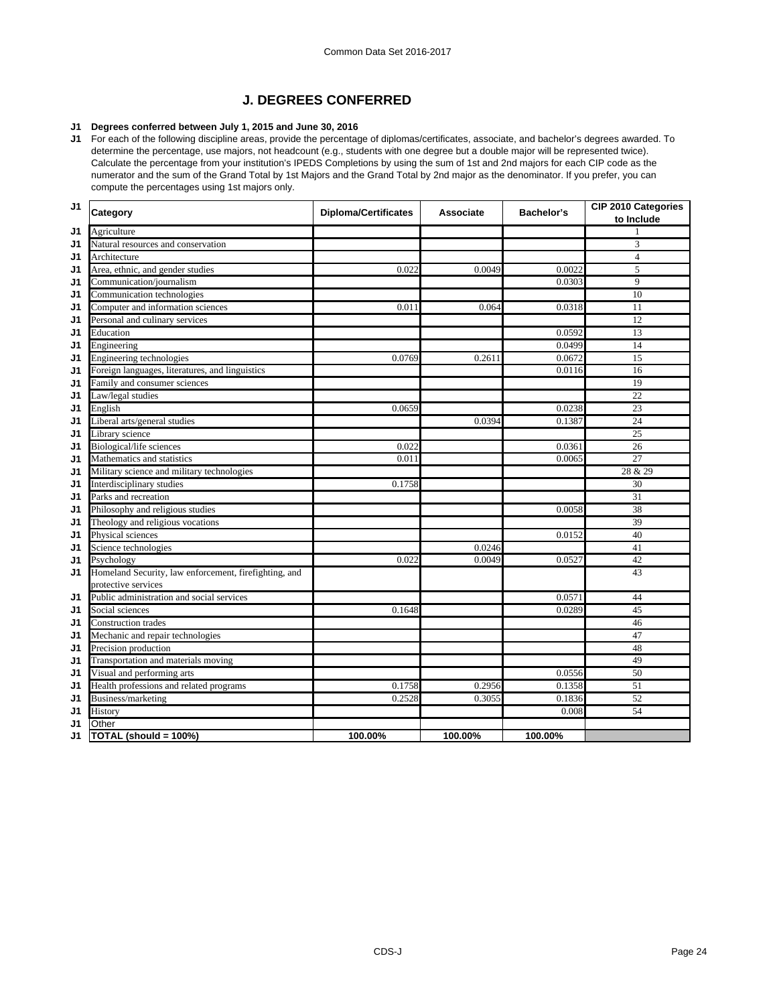## **J. DEGREES CONFERRED**

## **J1 Degrees conferred between July 1, 2015 and June 30, 2016**

**J1** For each of the following discipline areas, provide the percentage of diplomas/certificates, associate, and bachelor's degrees awarded. To determine the percentage, use majors, not headcount (e.g., students with one degree but a double major will be represented twice). Calculate the percentage from your institution's IPEDS Completions by using the sum of 1st and 2nd majors for each CIP code as the numerator and the sum of the Grand Total by 1st Majors and the Grand Total by 2nd major as the denominator. If you prefer, you can compute the percentages using 1st majors only.

| J1 | Category                                              | <b>Diploma/Certificates</b> | <b>Associate</b> | Bachelor's | CIP 2010 Categories<br>to Include |
|----|-------------------------------------------------------|-----------------------------|------------------|------------|-----------------------------------|
| J1 | Agriculture                                           |                             |                  |            |                                   |
| J1 | Natural resources and conservation                    |                             |                  |            | 3                                 |
| J1 | Architecture                                          |                             |                  |            | $\overline{4}$                    |
| J1 | Area, ethnic, and gender studies                      | 0.022                       | 0.0049           | 0.0022     | 5                                 |
| J1 | Communication/journalism                              |                             |                  | 0.0303     | 9                                 |
| J1 | Communication technologies                            |                             |                  |            | 10                                |
| J1 | Computer and information sciences                     | 0.011                       | 0.064            | 0.0318     | 11                                |
| J1 | Personal and culinary services                        |                             |                  |            | 12                                |
| J1 | Education                                             |                             |                  | 0.0592     | 13                                |
| J1 | Engineering                                           |                             |                  | 0.0499     | 14                                |
| J1 | Engineering technologies                              | 0.0769                      | 0.2611           | 0.0672     | 15                                |
| J1 | Foreign languages, literatures, and linguistics       |                             |                  | 0.0116     | 16                                |
| J1 | Family and consumer sciences                          |                             |                  |            | 19                                |
| J1 | Law/legal studies                                     |                             |                  |            | $\overline{22}$                   |
| J1 | English                                               | 0.0659                      |                  | 0.0238     | 23                                |
| J1 | Liberal arts/general studies                          |                             | 0.0394           | 0.1387     | 24                                |
| J1 | Library science                                       |                             |                  |            | $\overline{25}$                   |
| J1 | Biological/life sciences                              | 0.022                       |                  | 0.0361     | 26                                |
| J1 | Mathematics and statistics                            | 0.011                       |                  | 0.0065     | $\overline{27}$                   |
| J1 | Military science and military technologies            |                             |                  |            | 28 & 29                           |
| J1 | Interdisciplinary studies                             | 0.1758                      |                  |            | 30                                |
| J1 | Parks and recreation                                  |                             |                  |            | $\overline{31}$                   |
| J1 | Philosophy and religious studies                      |                             |                  | 0.0058     | 38                                |
| J1 | Theology and religious vocations                      |                             |                  |            | 39                                |
| J1 | Physical sciences                                     |                             |                  | 0.0152     | 40                                |
| J1 | Science technologies                                  |                             | 0.0246           |            | 41                                |
| J1 | Psychology                                            | 0.022                       | 0.0049           | 0.0527     | 42                                |
| J1 | Homeland Security, law enforcement, firefighting, and |                             |                  |            | 43                                |
|    | protective services                                   |                             |                  |            |                                   |
| J1 | Public administration and social services             |                             |                  | 0.0571     | 44                                |
| J1 | Social sciences                                       | 0.1648                      |                  | 0.0289     | 45                                |
| J1 | <b>Construction trades</b>                            |                             |                  |            | 46                                |
| J1 | Mechanic and repair technologies                      |                             |                  |            | 47                                |
| J1 | Precision production                                  |                             |                  |            | 48                                |
| J1 | Transportation and materials moving                   |                             |                  |            | 49                                |
| J1 | Visual and performing arts                            |                             |                  | 0.0556     | 50                                |
| J1 | Health professions and related programs               | 0.1758                      | 0.2956           | 0.1358     | 51                                |
| J1 | Business/marketing                                    | 0.2528                      | 0.3055           | 0.1836     | 52                                |
| J1 | History                                               |                             |                  | 0.008      | 54                                |
| J1 | Other                                                 |                             |                  |            |                                   |
| J1 | TOTAL (should = 100%)                                 | 100.00%                     | 100.00%          | 100.00%    |                                   |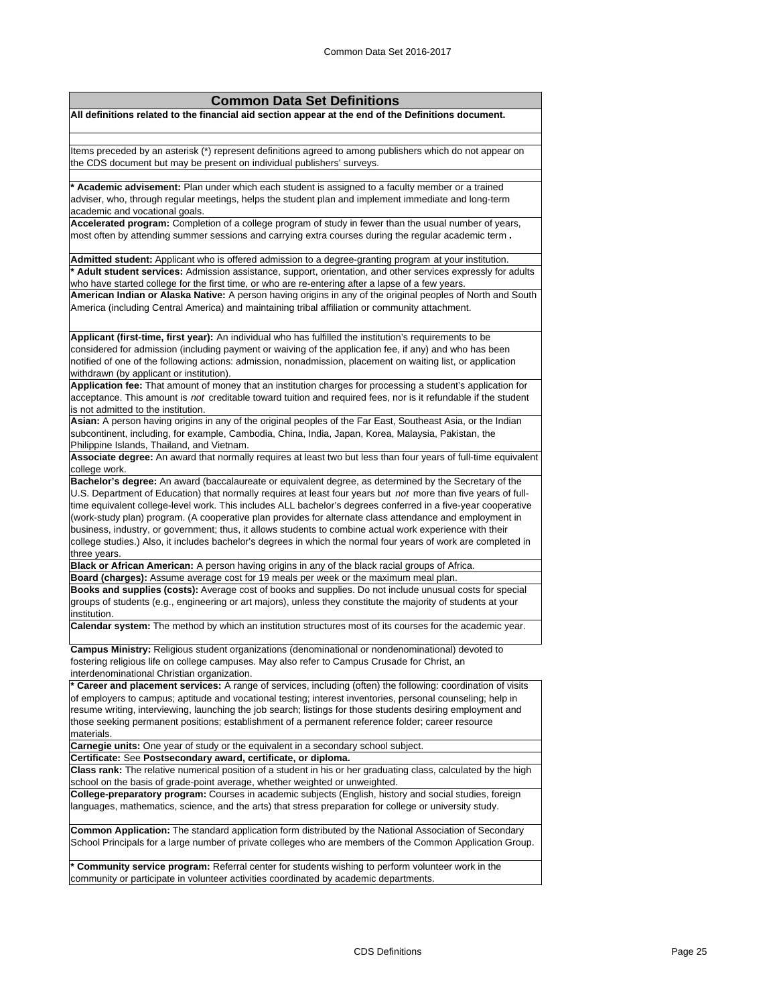| <b>Common Data Set Definitions</b>                                                                                                                                                                                                        |  |  |  |  |  |
|-------------------------------------------------------------------------------------------------------------------------------------------------------------------------------------------------------------------------------------------|--|--|--|--|--|
| All definitions related to the financial aid section appear at the end of the Definitions document.                                                                                                                                       |  |  |  |  |  |
|                                                                                                                                                                                                                                           |  |  |  |  |  |
| Items preceded by an asterisk (*) represent definitions agreed to among publishers which do not appear on                                                                                                                                 |  |  |  |  |  |
| the CDS document but may be present on individual publishers' surveys.                                                                                                                                                                    |  |  |  |  |  |
| * Academic advisement: Plan under which each student is assigned to a faculty member or a trained                                                                                                                                         |  |  |  |  |  |
| adviser, who, through regular meetings, helps the student plan and implement immediate and long-term<br>academic and vocational goals.                                                                                                    |  |  |  |  |  |
| Accelerated program: Completion of a college program of study in fewer than the usual number of years,                                                                                                                                    |  |  |  |  |  |
| most often by attending summer sessions and carrying extra courses during the regular academic term.                                                                                                                                      |  |  |  |  |  |
| Admitted student: Applicant who is offered admission to a degree-granting program at your institution.                                                                                                                                    |  |  |  |  |  |
| * Adult student services: Admission assistance, support, orientation, and other services expressly for adults                                                                                                                             |  |  |  |  |  |
| who have started college for the first time, or who are re-entering after a lapse of a few years.<br>American Indian or Alaska Native: A person having origins in any of the original peoples of North and South                          |  |  |  |  |  |
| America (including Central America) and maintaining tribal affiliation or community attachment.                                                                                                                                           |  |  |  |  |  |
| Applicant (first-time, first year): An individual who has fulfilled the institution's requirements to be                                                                                                                                  |  |  |  |  |  |
| considered for admission (including payment or waiving of the application fee, if any) and who has been                                                                                                                                   |  |  |  |  |  |
| notified of one of the following actions: admission, nonadmission, placement on waiting list, or application                                                                                                                              |  |  |  |  |  |
| withdrawn (by applicant or institution).<br>Application fee: That amount of money that an institution charges for processing a student's application for                                                                                  |  |  |  |  |  |
| acceptance. This amount is not creditable toward tuition and required fees, nor is it refundable if the student                                                                                                                           |  |  |  |  |  |
| is not admitted to the institution.                                                                                                                                                                                                       |  |  |  |  |  |
| Asian: A person having origins in any of the original peoples of the Far East, Southeast Asia, or the Indian                                                                                                                              |  |  |  |  |  |
| subcontinent, including, for example, Cambodia, China, India, Japan, Korea, Malaysia, Pakistan, the                                                                                                                                       |  |  |  |  |  |
| Philippine Islands, Thailand, and Vietnam.<br>Associate degree: An award that normally requires at least two but less than four years of full-time equivalent                                                                             |  |  |  |  |  |
| college work.                                                                                                                                                                                                                             |  |  |  |  |  |
| Bachelor's degree: An award (baccalaureate or equivalent degree, as determined by the Secretary of the                                                                                                                                    |  |  |  |  |  |
| U.S. Department of Education) that normally requires at least four years but not more than five years of full-                                                                                                                            |  |  |  |  |  |
| time equivalent college-level work. This includes ALL bachelor's degrees conferred in a five-year cooperative                                                                                                                             |  |  |  |  |  |
| (work-study plan) program. (A cooperative plan provides for alternate class attendance and employment in<br>business, industry, or government; thus, it allows students to combine actual work experience with their                      |  |  |  |  |  |
| college studies.) Also, it includes bachelor's degrees in which the normal four years of work are completed in                                                                                                                            |  |  |  |  |  |
| three years.                                                                                                                                                                                                                              |  |  |  |  |  |
| Black or African American: A person having origins in any of the black racial groups of Africa.                                                                                                                                           |  |  |  |  |  |
| Board (charges): Assume average cost for 19 meals per week or the maximum meal plan.                                                                                                                                                      |  |  |  |  |  |
| Books and supplies (costs): Average cost of books and supplies. Do not include unusual costs for special<br>groups of students (e.g., engineering or art majors), unless they constitute the majority of students at your<br>institution. |  |  |  |  |  |
| Calendar system: The method by which an institution structures most of its courses for the academic year.                                                                                                                                 |  |  |  |  |  |
| Campus Ministry: Religious student organizations (denominational or nondenominational) devoted to                                                                                                                                         |  |  |  |  |  |
| fostering religious life on college campuses. May also refer to Campus Crusade for Christ, an                                                                                                                                             |  |  |  |  |  |
| interdenominational Christian organization.                                                                                                                                                                                               |  |  |  |  |  |
| * Career and placement services: A range of services, including (often) the following: coordination of visits<br>of employers to campus; aptitude and vocational testing; interest inventories, personal counseling; help in              |  |  |  |  |  |
| resume writing, interviewing, launching the job search; listings for those students desiring employment and                                                                                                                               |  |  |  |  |  |
| those seeking permanent positions; establishment of a permanent reference folder; career resource                                                                                                                                         |  |  |  |  |  |
| materials.<br>Carnegie units: One year of study or the equivalent in a secondary school subject.                                                                                                                                          |  |  |  |  |  |
| Certificate: See Postsecondary award, certificate, or diploma.                                                                                                                                                                            |  |  |  |  |  |
| Class rank: The relative numerical position of a student in his or her graduating class, calculated by the high<br>school on the basis of grade-point average, whether weighted or unweighted.                                            |  |  |  |  |  |
| College-preparatory program: Courses in academic subjects (English, history and social studies, foreign                                                                                                                                   |  |  |  |  |  |
| languages, mathematics, science, and the arts) that stress preparation for college or university study.                                                                                                                                   |  |  |  |  |  |
| Common Application: The standard application form distributed by the National Association of Secondary                                                                                                                                    |  |  |  |  |  |
| School Principals for a large number of private colleges who are members of the Common Application Group.                                                                                                                                 |  |  |  |  |  |
| <b>* Community service program:</b> Referral center for students wishing to perform volunteer work in the<br>community or participate in volunteer activities coordinated by academic departments                                         |  |  |  |  |  |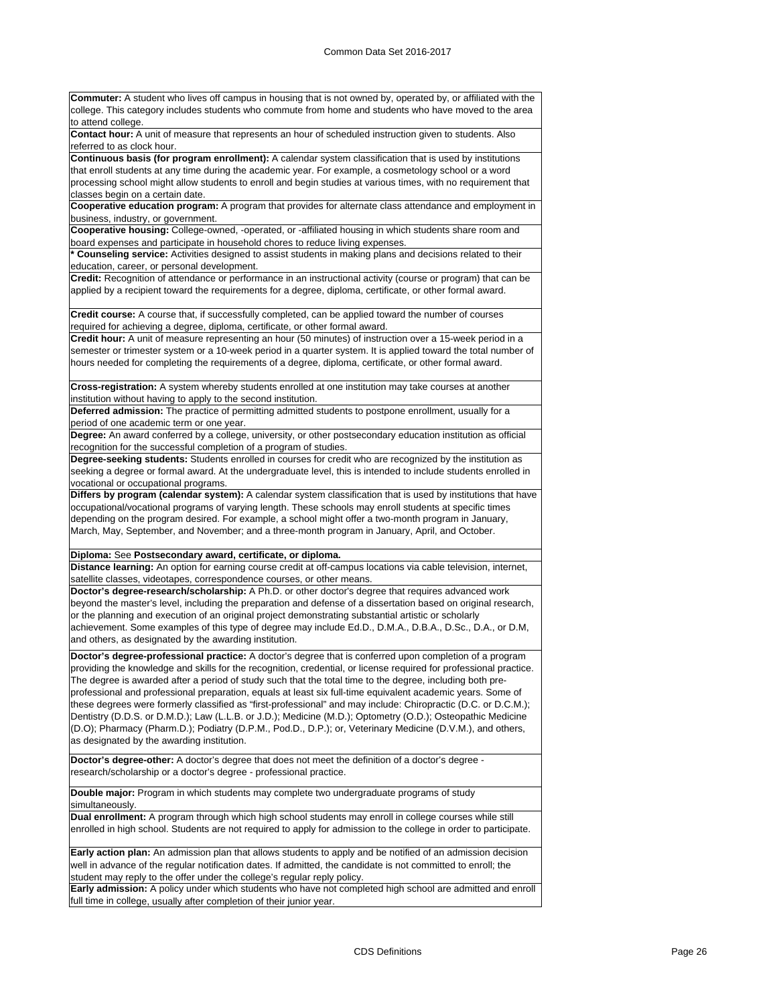**Commuter:** A student who lives off campus in housing that is not owned by, operated by, or affiliated with the college. This category includes students who commute from home and students who have moved to the area to attend college. **Contact hour:** A unit of measure that represents an hour of scheduled instruction given to students. Also referred to as clock hour. **Continuous basis (for program enrollment):** A calendar system classification that is used by institutions that enroll students at any time during the academic year. For example, a cosmetology school or a word processing school might allow students to enroll and begin studies at various times, with no requirement that classes begin on a certain date. **Cooperative education program:** A program that provides for alternate class attendance and employment in business, industry, or government. **Cooperative housing:** College-owned, -operated, or -affiliated housing in which students share room and board expenses and participate in household chores to reduce living expenses. **\* Counseling service:** Activities designed to assist students in making plans and decisions related to their education, career, or personal development. **Credit:** Recognition of attendance or performance in an instructional activity (course or program) that can be applied by a recipient toward the requirements for a degree, diploma, certificate, or other formal award. **Credit course:** A course that, if successfully completed, can be applied toward the number of courses required for achieving a degree, diploma, certificate, or other formal award. **Credit hour:** A unit of measure representing an hour (50 minutes) of instruction over a 15-week period in a semester or trimester system or a 10-week period in a quarter system. It is applied toward the total number of hours needed for completing the requirements of a degree, diploma, certificate, or other formal award. **Cross-registration:** A system whereby students enrolled at one institution may take courses at another institution without having to apply to the second institution. **Deferred admission:** The practice of permitting admitted students to postpone enrollment, usually for a period of one academic term or one year. **Degree:** An award conferred by a college, university, or other postsecondary education institution as official recognition for the successful completion of a program of studies. **Degree-seeking students:** Students enrolled in courses for credit who are recognized by the institution as seeking a degree or formal award. At the undergraduate level, this is intended to include students enrolled in vocational or occupational programs. **Differs by program (calendar system):** A calendar system classification that is used by institutions that have occupational/vocational programs of varying length. These schools may enroll students at specific times depending on the program desired. For example, a school might offer a two-month program in January, March, May, September, and November; and a three-month program in January, April, and October. **Diploma:** See **Postsecondary award, certificate, or diploma. Distance learning:** An option for earning course credit at off-campus locations via cable television, internet, satellite classes, videotapes, correspondence courses, or other means. **Doctor's degree-research/scholarship:** A Ph.D. or other doctor's degree that requires advanced work beyond the master's level, including the preparation and defense of a dissertation based on original research, or the planning and execution of an original project demonstrating substantial artistic or scholarly achievement. Some examples of this type of degree may include Ed.D., D.M.A., D.B.A., D.Sc., D.A., or D.M, and others, as designated by the awarding institution. **Doctor's degree-professional practice:** A doctor's degree that is conferred upon completion of a program providing the knowledge and skills for the recognition, credential, or license required for professional practice. The degree is awarded after a period of study such that the total time to the degree, including both preprofessional and professional preparation, equals at least six full-time equivalent academic years. Some of these degrees were formerly classified as "first-professional" and may include: Chiropractic (D.C. or D.C.M.); Dentistry (D.D.S. or D.M.D.); Law (L.L.B. or J.D.); Medicine (M.D.); Optometry (O.D.); Osteopathic Medicine (D.O); Pharmacy (Pharm.D.); Podiatry (D.P.M., Pod.D., D.P.); or, Veterinary Medicine (D.V.M.), and others, as designated by the awarding institution. **Doctor's degree-other:** A doctor's degree that does not meet the definition of a doctor's degree research/scholarship or a doctor's degree - professional practice. **Double major:** Program in which students may complete two undergraduate programs of study simultaneously. **Dual enrollment:** A program through which high school students may enroll in college courses while still enrolled in high school. Students are not required to apply for admission to the college in order to participate. **Early action plan:** An admission plan that allows students to apply and be notified of an admission decision well in advance of the regular notification dates. If admitted, the candidate is not committed to enroll; the student may reply to the offer under the college's regular reply policy. **Early admission:** A policy under which students who have not completed high school are admitted and enroll full time in college, usually after completion of their junior year.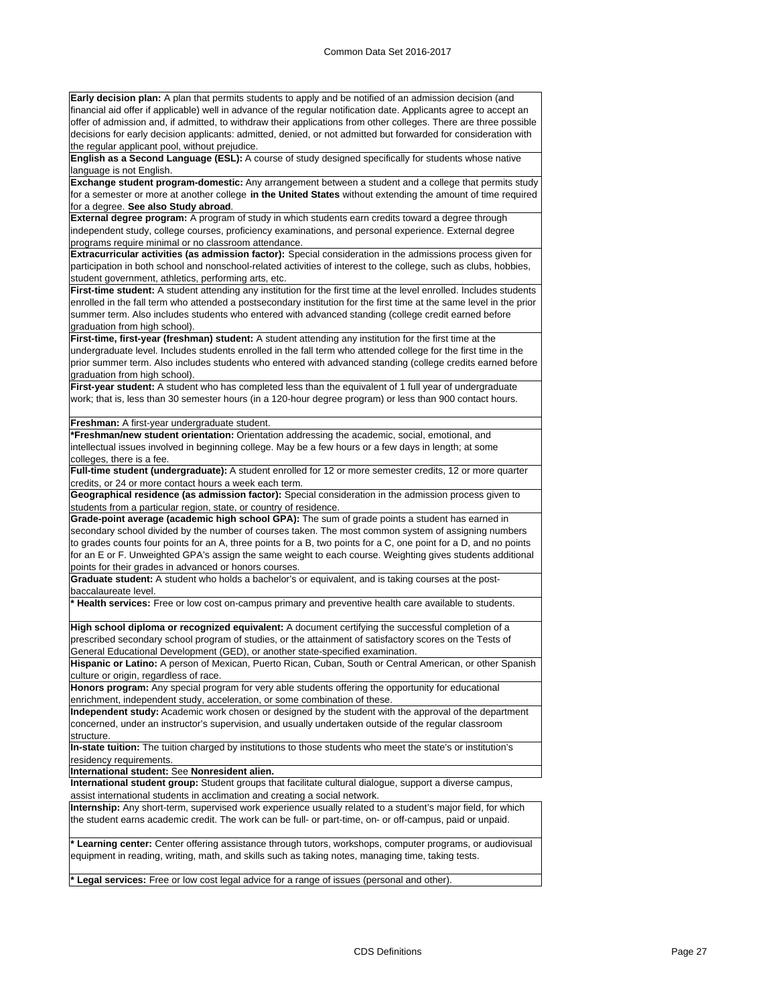**Early decision plan:** A plan that permits students to apply and be notified of an admission decision (and financial aid offer if applicable) well in advance of the regular notification date. Applicants agree to accept an offer of admission and, if admitted, to withdraw their applications from other colleges. There are three possible decisions for early decision applicants: admitted, denied, or not admitted but forwarded for consideration with the regular applicant pool, without prejudice.

**English as a Second Language (ESL):** A course of study designed specifically for students whose native language is not English.

**Exchange student program-domestic:** Any arrangement between a student and a college that permits study for a semester or more at another college **in the United States** without extending the amount of time required for a degree. **See also Study abroad**.

**External degree program:** A program of study in which students earn credits toward a degree through independent study, college courses, proficiency examinations, and personal experience. External degree programs require minimal or no classroom attendance.

**Extracurricular activities (as admission factor):** Special consideration in the admissions process given for participation in both school and nonschool-related activities of interest to the college, such as clubs, hobbies, student government, athletics, performing arts, etc.

**First-time student:** A student attending any institution for the first time at the level enrolled. Includes students enrolled in the fall term who attended a postsecondary institution for the first time at the same level in the prior summer term. Also includes students who entered with advanced standing (college credit earned before graduation from high school).

**First-time, first-year (freshman) student:** A student attending any institution for the first time at the undergraduate level. Includes students enrolled in the fall term who attended college for the first time in the prior summer term. Also includes students who entered with advanced standing (college credits earned before graduation from high school).

First-year student: A student who has completed less than the equivalent of 1 full year of undergraduate work; that is, less than 30 semester hours (in a 120-hour degree program) or less than 900 contact hours.

#### **Freshman:** A first-year undergraduate student.

**\*Freshman/new student orientation:** Orientation addressing the academic, social, emotional, and intellectual issues involved in beginning college. May be a few hours or a few days in length; at some colleges, there is a fee.

**Full-time student (undergraduate):** A student enrolled for 12 or more semester credits, 12 or more quarter credits, or 24 or more contact hours a week each term.

**Geographical residence (as admission factor):** Special consideration in the admission process given to students from a particular region, state, or country of residence.

**Grade-point average (academic high school GPA):** The sum of grade points a student has earned in secondary school divided by the number of courses taken. The most common system of assigning numbers to grades counts four points for an A, three points for a B, two points for a C, one point for a D, and no points for an E or F. Unweighted GPA's assign the same weight to each course. Weighting gives students additional points for their grades in advanced or honors courses.

**Graduate student:** A student who holds a bachelor's or equivalent, and is taking courses at the postbaccalaureate level.

**\* Health services:** Free or low cost on-campus primary and preventive health care available to students.

**High school diploma or recognized equivalent:** A document certifying the successful completion of a prescribed secondary school program of studies, or the attainment of satisfactory scores on the Tests of General Educational Development (GED), or another state-specified examination.

**Hispanic or Latino:** A person of Mexican, Puerto Rican, Cuban, South or Central American, or other Spanish culture or origin, regardless of race.

**Honors program:** Any special program for very able students offering the opportunity for educational enrichment, independent study, acceleration, or some combination of these.

**Independent study:** Academic work chosen or designed by the student with the approval of the department concerned, under an instructor's supervision, and usually undertaken outside of the regular classroom structure.

**In-state tuition:** The tuition charged by institutions to those students who meet the state's or institution's residency requirements.

**International student:** See **Nonresident alien.**

**International student group:** Student groups that facilitate cultural dialogue, support a diverse campus, assist international students in acclimation and creating a social network.

**Internship:** Any short-term, supervised work experience usually related to a student's major field, for which the student earns academic credit. The work can be full- or part-time, on- or off-campus, paid or unpaid.

**\* Learning center:** Center offering assistance through tutors, workshops, computer programs, or audiovisual equipment in reading, writing, math, and skills such as taking notes, managing time, taking tests.

**\* Legal services:** Free or low cost legal advice for a range of issues (personal and other).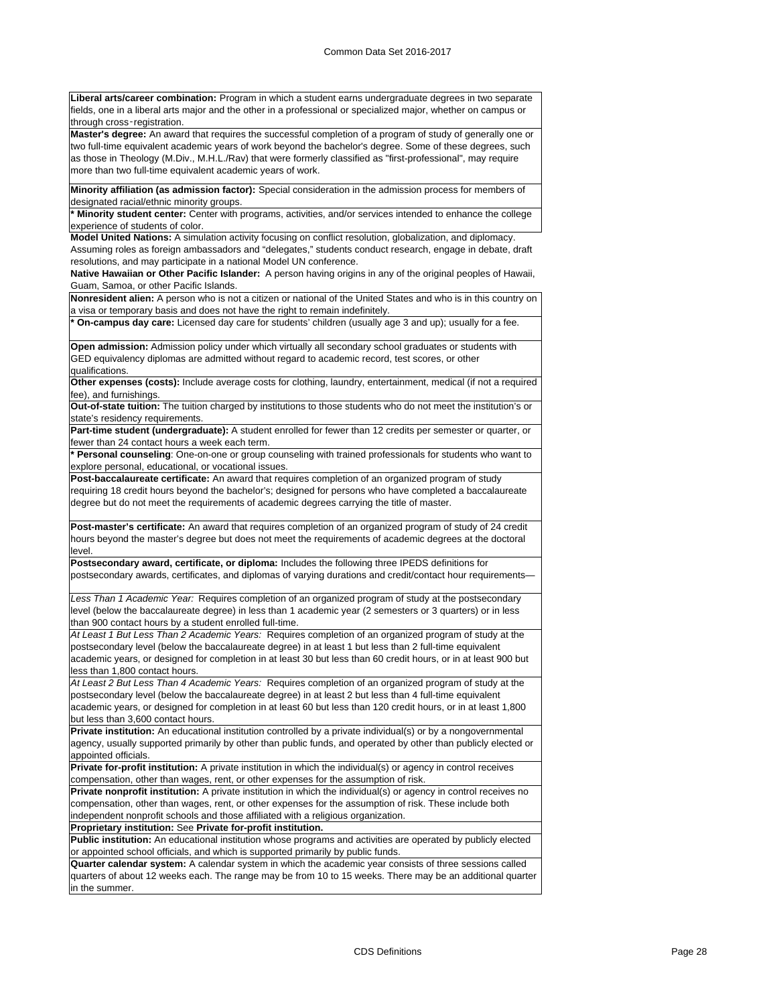**Liberal arts/career combination:** Program in which a student earns undergraduate degrees in two separate fields, one in a liberal arts major and the other in a professional or specialized major, whether on campus or through cross‑registration.

**Master's degree:** An award that requires the successful completion of a program of study of generally one or two full-time equivalent academic years of work beyond the bachelor's degree. Some of these degrees, such as those in Theology (M.Div., M.H.L./Rav) that were formerly classified as "first-professional", may require more than two full-time equivalent academic years of work.

**Minority affiliation (as admission factor):** Special consideration in the admission process for members of designated racial/ethnic minority groups.

**\* Minority student center:** Center with programs, activities, and/or services intended to enhance the college experience of students of color.

**Model United Nations:** A simulation activity focusing on conflict resolution, globalization, and diplomacy. Assuming roles as foreign ambassadors and "delegates," students conduct research, engage in debate, draft

resolutions, and may participate in a national Model UN conference.

**Native Hawaiian or Other Pacific Islander:** A person having origins in any of the original peoples of Hawaii, Guam, Samoa, or other Pacific Islands.

**Nonresident alien:** A person who is not a citizen or national of the United States and who is in this country on a visa or temporary basis and does not have the right to remain indefinitely.

**\* On-campus day care:** Licensed day care for students' children (usually age 3 and up); usually for a fee.

**Open admission:** Admission policy under which virtually all secondary school graduates or students with GED equivalency diplomas are admitted without regard to academic record, test scores, or other qualifications.

**Other expenses (costs):** Include average costs for clothing, laundry, entertainment, medical (if not a required fee), and furnishings.

**Out-of-state tuition:** The tuition charged by institutions to those students who do not meet the institution's or state's residency requirements.

**Part-time student (undergraduate):** A student enrolled for fewer than 12 credits per semester or quarter, or fewer than 24 contact hours a week each term.

**\* Personal counseling**: One-on-one or group counseling with trained professionals for students who want to explore personal, educational, or vocational issues.

**Post-baccalaureate certificate:** An award that requires completion of an organized program of study requiring 18 credit hours beyond the bachelor's; designed for persons who have completed a baccalaureate degree but do not meet the requirements of academic degrees carrying the title of master.

**Post-master's certificate:** An award that requires completion of an organized program of study of 24 credit hours beyond the master's degree but does not meet the requirements of academic degrees at the doctoral level.

**Postsecondary award, certificate, or diploma:** Includes the following three IPEDS definitions for postsecondary awards, certificates, and diplomas of varying durations and credit/contact hour requirements—

*Less Than 1 Academic Year:* Requires completion of an organized program of study at the postsecondary level (below the baccalaureate degree) in less than 1 academic year (2 semesters or 3 quarters) or in less than 900 contact hours by a student enrolled full-time.

*At Least 1 But Less Than 2 Academic Years:* Requires completion of an organized program of study at the postsecondary level (below the baccalaureate degree) in at least 1 but less than 2 full-time equivalent academic years, or designed for completion in at least 30 but less than 60 credit hours, or in at least 900 but less than 1,800 contact hours.

*At Least 2 But Less Than 4 Academic Years:* Requires completion of an organized program of study at the postsecondary level (below the baccalaureate degree) in at least 2 but less than 4 full-time equivalent academic years, or designed for completion in at least 60 but less than 120 credit hours, or in at least 1,800 but less than 3,600 contact hours.

**Private institution:** An educational institution controlled by a private individual(s) or by a nongovernmental agency, usually supported primarily by other than public funds, and operated by other than publicly elected or appointed officials.

**Private for-profit institution:** A private institution in which the individual(s) or agency in control receives compensation, other than wages, rent, or other expenses for the assumption of risk.

**Private nonprofit institution:** A private institution in which the individual(s) or agency in control receives no compensation, other than wages, rent, or other expenses for the assumption of risk. These include both independent nonprofit schools and those affiliated with a religious organization.

**Proprietary institution:** See **Private for-profit institution.**

**Public institution:** An educational institution whose programs and activities are operated by publicly elected or appointed school officials, and which is supported primarily by public funds.

**Quarter calendar system:** A calendar system in which the academic year consists of three sessions called quarters of about 12 weeks each. The range may be from 10 to 15 weeks. There may be an additional quarter in the summer.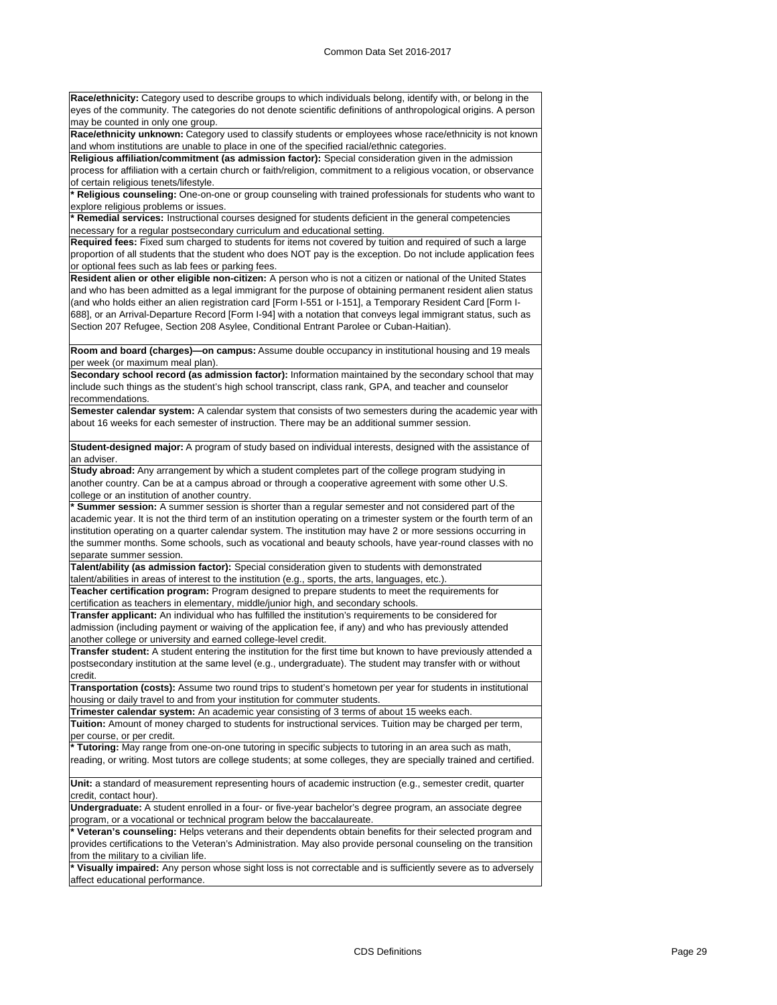**Race/ethnicity:** Category used to describe groups to which individuals belong, identify with, or belong in the eyes of the community. The categories do not denote scientific definitions of anthropological origins. A person may be counted in only one group.

**Race/ethnicity unknown:** Category used to classify students or employees whose race/ethnicity is not known and whom institutions are unable to place in one of the specified racial/ethnic categories.

**Religious affiliation/commitment (as admission factor):** Special consideration given in the admission process for affiliation with a certain church or faith/religion, commitment to a religious vocation, or observance of certain religious tenets/lifestyle.

**\* Religious counseling:** One-on-one or group counseling with trained professionals for students who want to explore religious problems or issues.

**\* Remedial services:** Instructional courses designed for students deficient in the general competencies necessary for a regular postsecondary curriculum and educational setting.

**Required fees:** Fixed sum charged to students for items not covered by tuition and required of such a large proportion of all students that the student who does NOT pay is the exception. Do not include application fees or optional fees such as lab fees or parking fees.

**Resident alien or other eligible non-citizen:** A person who is not a citizen or national of the United States and who has been admitted as a legal immigrant for the purpose of obtaining permanent resident alien status (and who holds either an alien registration card [Form I-551 or I-151], a Temporary Resident Card [Form I-688], or an Arrival-Departure Record [Form I-94] with a notation that conveys legal immigrant status, such as Section 207 Refugee, Section 208 Asylee, Conditional Entrant Parolee or Cuban-Haitian).

**Room and board (charges)—on campus:** Assume double occupancy in institutional housing and 19 meals per week (or maximum meal plan).

**Secondary school record (as admission factor):** Information maintained by the secondary school that may include such things as the student's high school transcript, class rank, GPA, and teacher and counselor recommendations.

**Semester calendar system:** A calendar system that consists of two semesters during the academic year with about 16 weeks for each semester of instruction. There may be an additional summer session.

**Student-designed major:** A program of study based on individual interests, designed with the assistance of an adviser.

**Study abroad:** Any arrangement by which a student completes part of the college program studying in another country. Can be at a campus abroad or through a cooperative agreement with some other U.S. college or an institution of another country.

**\* Summer session:** A summer session is shorter than a regular semester and not considered part of the academic year. It is not the third term of an institution operating on a trimester system or the fourth term of an institution operating on a quarter calendar system. The institution may have 2 or more sessions occurring in the summer months. Some schools, such as vocational and beauty schools, have year-round classes with no separate summer session.

**Talent/ability (as admission factor):** Special consideration given to students with demonstrated talent/abilities in areas of interest to the institution (e.g., sports, the arts, languages, etc.) **Teacher certification program:** Program designed to prepare students to meet the requirements for

certification as teachers in elementary, middle/junior high, and secondary schools.

**Transfer applicant:** An individual who has fulfilled the institution's requirements to be considered for admission (including payment or waiving of the application fee, if any) and who has previously attended another college or university and earned college-level credit.

**Transfer student:** A student entering the institution for the first time but known to have previously attended a postsecondary institution at the same level (e.g., undergraduate). The student may transfer with or without credit.

**Transportation (costs):** Assume two round trips to student's hometown per year for students in institutional housing or daily travel to and from your institution for commuter students.

**Trimester calendar system:** An academic year consisting of 3 terms of about 15 weeks each.

**Tuition:** Amount of money charged to students for instructional services. Tuition may be charged per term, per course, or per credit.

**\* Tutoring:** May range from one-on-one tutoring in specific subjects to tutoring in an area such as math, reading, or writing. Most tutors are college students; at some colleges, they are specially trained and certified.

**Unit:** a standard of measurement representing hours of academic instruction (e.g., semester credit, quarter credit, contact hour).

**Undergraduate:** A student enrolled in a four- or five-year bachelor's degree program, an associate degree program, or a vocational or technical program below the baccalaureate.

**\* Veteran's counseling:** Helps veterans and their dependents obtain benefits for their selected program and provides certifications to the Veteran's Administration. May also provide personal counseling on the transition from the military to a civilian life.

**\* Visually impaired:** Any person whose sight loss is not correctable and is sufficiently severe as to adversely affect educational performance.